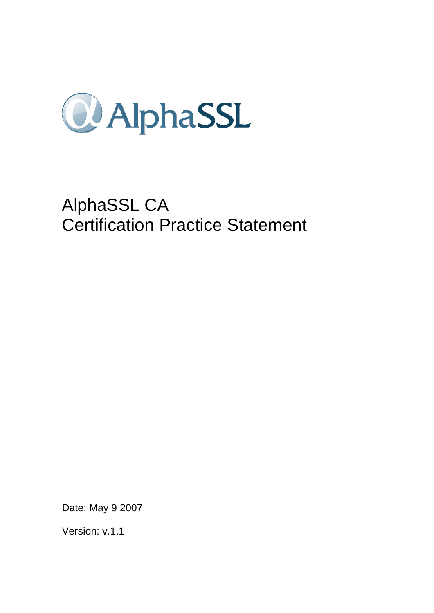

# AlphaSSL CA Certification Practice Statement

Date: May 9 2007

Version: v.1.1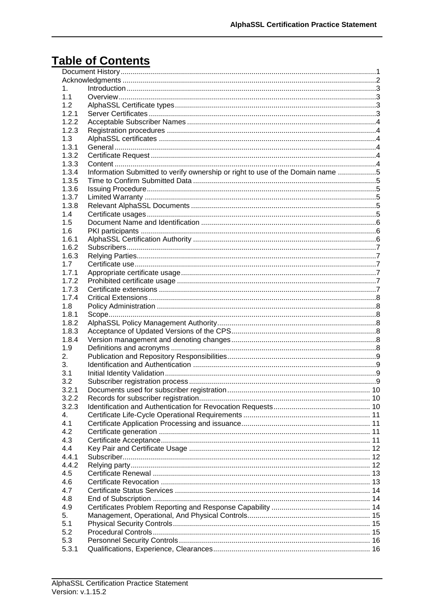## **Table of Contents**

| 1.    |                                                                                |  |  |  |  |
|-------|--------------------------------------------------------------------------------|--|--|--|--|
| 1.1   |                                                                                |  |  |  |  |
| 1.2   |                                                                                |  |  |  |  |
| 1.2.1 |                                                                                |  |  |  |  |
| 1.2.2 |                                                                                |  |  |  |  |
| 1.2.3 |                                                                                |  |  |  |  |
| 1.3   |                                                                                |  |  |  |  |
| 1.3.1 |                                                                                |  |  |  |  |
| 1.3.2 |                                                                                |  |  |  |  |
| 1.3.3 |                                                                                |  |  |  |  |
| 1.3.4 |                                                                                |  |  |  |  |
|       | Information Submitted to verify ownership or right to use of the Domain name 5 |  |  |  |  |
| 1.3.5 |                                                                                |  |  |  |  |
| 1.3.6 |                                                                                |  |  |  |  |
| 1.3.7 |                                                                                |  |  |  |  |
| 1.3.8 |                                                                                |  |  |  |  |
| 1.4   |                                                                                |  |  |  |  |
| 1.5   |                                                                                |  |  |  |  |
| 1.6   |                                                                                |  |  |  |  |
| 1.6.1 |                                                                                |  |  |  |  |
| 1.6.2 |                                                                                |  |  |  |  |
| 1.6.3 |                                                                                |  |  |  |  |
| 1.7   |                                                                                |  |  |  |  |
| 1.7.1 |                                                                                |  |  |  |  |
| 1.7.2 |                                                                                |  |  |  |  |
| 1.7.3 |                                                                                |  |  |  |  |
| 1.7.4 |                                                                                |  |  |  |  |
| 1.8   |                                                                                |  |  |  |  |
| 1.8.1 |                                                                                |  |  |  |  |
| 1.8.2 |                                                                                |  |  |  |  |
| 1.8.3 |                                                                                |  |  |  |  |
| 1.8.4 |                                                                                |  |  |  |  |
| 1.9   |                                                                                |  |  |  |  |
| 2.    |                                                                                |  |  |  |  |
| 3.    |                                                                                |  |  |  |  |
| 3.1   |                                                                                |  |  |  |  |
| 3.2   |                                                                                |  |  |  |  |
| 3.2.1 |                                                                                |  |  |  |  |
| 3.2.2 |                                                                                |  |  |  |  |
| 3.2.3 |                                                                                |  |  |  |  |
| 4.    |                                                                                |  |  |  |  |
| 4.1   |                                                                                |  |  |  |  |
| 4.2   |                                                                                |  |  |  |  |
| 4.3   |                                                                                |  |  |  |  |
| 4.4   |                                                                                |  |  |  |  |
|       |                                                                                |  |  |  |  |
| 4.4.1 |                                                                                |  |  |  |  |
| 4.4.2 |                                                                                |  |  |  |  |
| 4.5   |                                                                                |  |  |  |  |
| 4.6   |                                                                                |  |  |  |  |
| 4.7   |                                                                                |  |  |  |  |
| 4.8   |                                                                                |  |  |  |  |
| 4.9   |                                                                                |  |  |  |  |
| 5.    |                                                                                |  |  |  |  |
| 5.1   |                                                                                |  |  |  |  |
| 5.2   |                                                                                |  |  |  |  |
| 5.3   |                                                                                |  |  |  |  |
| 5.3.1 |                                                                                |  |  |  |  |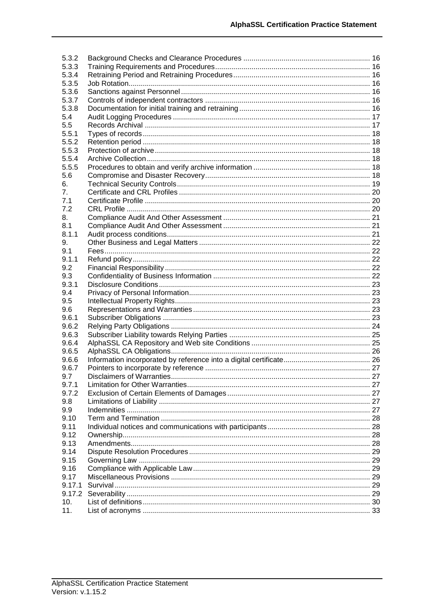| 5.3.2          |  |
|----------------|--|
| 5.3.3          |  |
| 5.3.4          |  |
| 5.3.5          |  |
| 5.3.6          |  |
| 5.3.7          |  |
| 5.3.8          |  |
| 5.4            |  |
| 5.5            |  |
| 5.5.1          |  |
| 5.5.2          |  |
| 5.5.3          |  |
| 5.5.4          |  |
| 5.5.5          |  |
| 5.6            |  |
| 6.             |  |
| 7 <sub>1</sub> |  |
| 7.1            |  |
| 7.2            |  |
| 8.             |  |
| 8.1            |  |
| 8.1.1          |  |
| 9.             |  |
| 9.1            |  |
| 9.1.1          |  |
| 9.2            |  |
| 9.3            |  |
| 9.3.1          |  |
| 9.4            |  |
| 9.5            |  |
| 9.6            |  |
| 9.6.1          |  |
| 9.6.2          |  |
| 9.6.3          |  |
| 9.6.4          |  |
| 9.6.5<br>9.6.6 |  |
| 9.6.7          |  |
| 9.7            |  |
| 9.7.1          |  |
| 9.7.2          |  |
| 9.8            |  |
| 9.9            |  |
| 9.10           |  |
| 9.11           |  |
| 9.12           |  |
| 9.13           |  |
| 9.14           |  |
| 9.15           |  |
| 9.16           |  |
| 9.17           |  |
| 9.17.1         |  |
| 9.17.2         |  |
| 10.            |  |
| 11.            |  |
|                |  |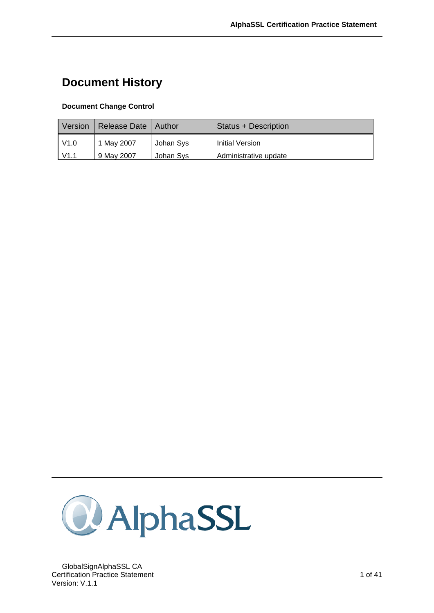## <span id="page-3-0"></span>**Document History**

#### **Document Change Control**

| Version | Release Date | Author    | Status + Description   |
|---------|--------------|-----------|------------------------|
| V1.0    | 1 May 2007   | Johan Sys | <b>Initial Version</b> |
| V1.1    | 9 May 2007   | Johan Sys | Administrative update  |



GlobalSignAlphaSSL CA Certification Practice Statement 1 of 41 Version: V.1.1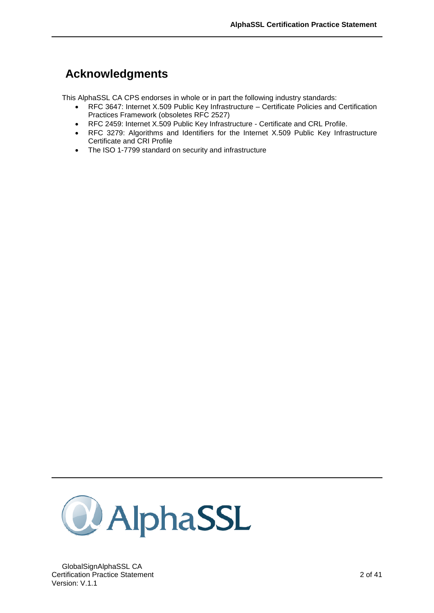## <span id="page-4-0"></span>**Acknowledgments**

This AlphaSSL CA CPS endorses in whole or in part the following industry standards:

- RFC 3647: Internet X.509 Public Key Infrastructure Certificate Policies and Certification Practices Framework (obsoletes RFC 2527)
- RFC 2459: Internet X.509 Public Key Infrastructure Certificate and CRL Profile.
- RFC 3279: Algorithms and Identifiers for the Internet X.509 Public Key Infrastructure Certificate and CRI Profile
- The ISO 1-7799 standard on security and infrastructure

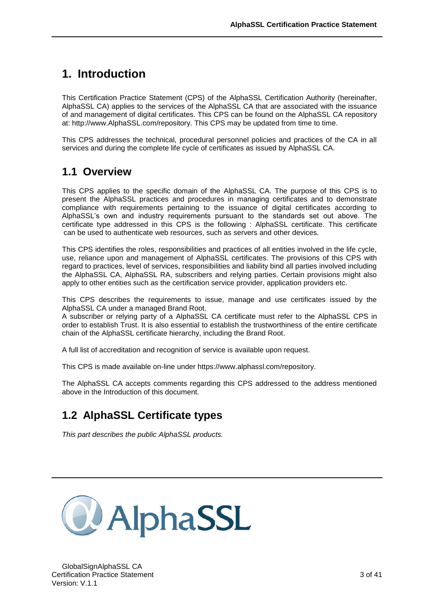## <span id="page-5-0"></span>**1. Introduction**

This Certification Practice Statement (CPS) of the AlphaSSL Certification Authority (hereinafter, AlphaSSL CA) applies to the services of the AlphaSSL CA that are associated with the issuance of and management of digital certificates. This CPS can be found on the AlphaSSL CA repository at: http://www.AlphaSSL.com/repository. This CPS may be updated from time to time.

This CPS addresses the technical, procedural personnel policies and practices of the CA in all services and during the complete life cycle of certificates as issued by AlphaSSL CA.

## <span id="page-5-1"></span>**1.1 Overview**

This CPS applies to the specific domain of the AlphaSSL CA. The purpose of this CPS is to present the AlphaSSL practices and procedures in managing certificates and to demonstrate compliance with requirements pertaining to the issuance of digital certificates according to AlphaSSL's own and industry requirements pursuant to the standards set out above. The certificate type addressed in this CPS is the following : AlphaSSL certificate. This certificate can be used to authenticate web resources, such as servers and other devices.

This CPS identifies the roles, responsibilities and practices of all entities involved in the life cycle, use, reliance upon and management of AlphaSSL certificates. The provisions of this CPS with regard to practices, level of services, responsibilities and liability bind all parties involved including the AlphaSSL CA, AlphaSSL RA, subscribers and relying parties. Certain provisions might also apply to other entities such as the certification service provider, application providers etc.

This CPS describes the requirements to issue, manage and use certificates issued by the AlphaSSL CA under a managed Brand Root.

A subscriber or relying party of a AlphaSSL CA certificate must refer to the AlphaSSL CPS in order to establish Trust. It is also essential to establish the trustworthiness of the entire certificate chain of the AlphaSSL certificate hierarchy, including the Brand Root.

A full list of accreditation and recognition of service is available upon request.

This CPS is made available on-line under https://www.alphassl.com/repository.

The AlphaSSL CA accepts comments regarding this CPS addressed to the address mentioned above in the Introduction of this document.

## <span id="page-5-2"></span>**1.2 AlphaSSL Certificate types**

*This part describes the public AlphaSSL products.* 

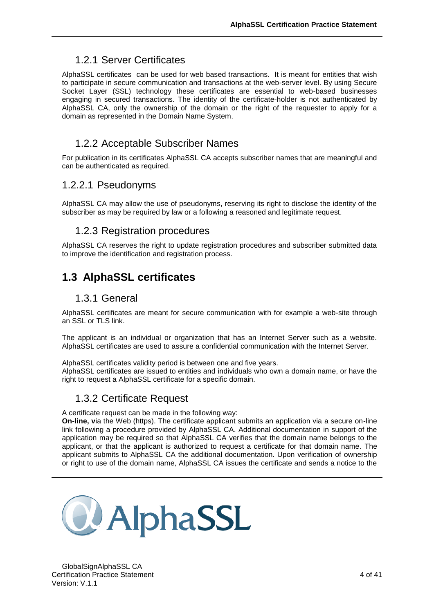### <span id="page-6-0"></span>1.2.1 Server Certificates

AlphaSSL certificates can be used for web based transactions. It is meant for entities that wish to participate in secure communication and transactions at the web-server level. By using Secure Socket Layer (SSL) technology these certificates are essential to web-based businesses engaging in secured transactions. The identity of the certificate-holder is not authenticated by AlphaSSL CA, only the ownership of the domain or the right of the requester to apply for a domain as represented in the Domain Name System.

### <span id="page-6-1"></span>1.2.2 Acceptable Subscriber Names

For publication in its certificates AlphaSSL CA accepts subscriber names that are meaningful and can be authenticated as required.

### 1.2.2.1 Pseudonyms

<span id="page-6-2"></span>AlphaSSL CA may allow the use of pseudonyms, reserving its right to disclose the identity of the subscriber as may be required by law or a following a reasoned and legitimate request.

### 1.2.3 Registration procedures

AlphaSSL CA reserves the right to update registration procedures and subscriber submitted data to improve the identification and registration process.

## <span id="page-6-3"></span>**1.3 AlphaSSL certificates**

#### 1.3.1 General

<span id="page-6-4"></span>AlphaSSL certificates are meant for secure communication with for example a web-site through an SSL or TLS link.

The applicant is an individual or organization that has an Internet Server such as a website. AlphaSSL certificates are used to assure a confidential communication with the Internet Server.

AlphaSSL certificates validity period is between one and five years.

<span id="page-6-5"></span>AlphaSSL certificates are issued to entities and individuals who own a domain name, or have the right to request a AlphaSSL certificate for a specific domain.

### 1.3.2 Certificate Request

A certificate request can be made in the following way:

**On-line, v**ia the Web (https). The certificate applicant submits an application via a secure on-line link following a procedure provided by AlphaSSL CA. Additional documentation in support of the application may be required so that AlphaSSL CA verifies that the domain name belongs to the applicant, or that the applicant is authorized to request a certificate for that domain name. The applicant submits to AlphaSSL CA the additional documentation. Upon verification of ownership or right to use of the domain name, AlphaSSL CA issues the certificate and sends a notice to the

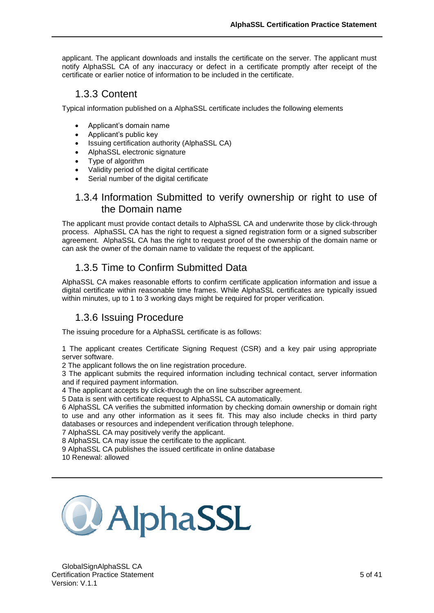applicant. The applicant downloads and installs the certificate on the server. The applicant must notify AlphaSSL CA of any inaccuracy or defect in a certificate promptly after receipt of the certificate or earlier notice of information to be included in the certificate.

### <span id="page-7-0"></span>1.3.3 Content

Typical information published on a AlphaSSL certificate includes the following elements

- Applicant's domain name
- Applicant's public key
- Issuing certification authority (AlphaSSL CA)
- AlphaSSL electronic signature
- Type of algorithm
- Validity period of the digital certificate
- Serial number of the digital certificate

### <span id="page-7-1"></span>1.3.4 Information Submitted to verify ownership or right to use of the Domain name

The applicant must provide contact details to AlphaSSL CA and underwrite those by click-through process. AlphaSSL CA has the right to request a signed registration form or a signed subscriber agreement. AlphaSSL CA has the right to request proof of the ownership of the domain name or can ask the owner of the domain name to validate the request of the applicant.

## <span id="page-7-2"></span>1.3.5 Time to Confirm Submitted Data

AlphaSSL CA makes reasonable efforts to confirm certificate application information and issue a digital certificate within reasonable time frames. While AlphaSSL certificates are typically issued within minutes, up to 1 to 3 working days might be required for proper verification.

### <span id="page-7-3"></span>1.3.6 Issuing Procedure

The issuing procedure for a AlphaSSL certificate is as follows:

1 The applicant creates Certificate Signing Request (CSR) and a key pair using appropriate server software.

2 The applicant follows the on line registration procedure.

3 The applicant submits the required information including technical contact, server information and if required payment information.

4 The applicant accepts by click-through the on line subscriber agreement.

5 Data is sent with certificate request to AlphaSSL CA automatically.

6 AlphaSSL CA verifies the submitted information by checking domain ownership or domain right to use and any other information as it sees fit. This may also include checks in third party databases or resources and independent verification through telephone.

7 AlphaSSL CA may positively verify the applicant.

8 AlphaSSL CA may issue the certificate to the applicant.

9 AlphaSSL CA publishes the issued certificate in online database

10 Renewal: allowed

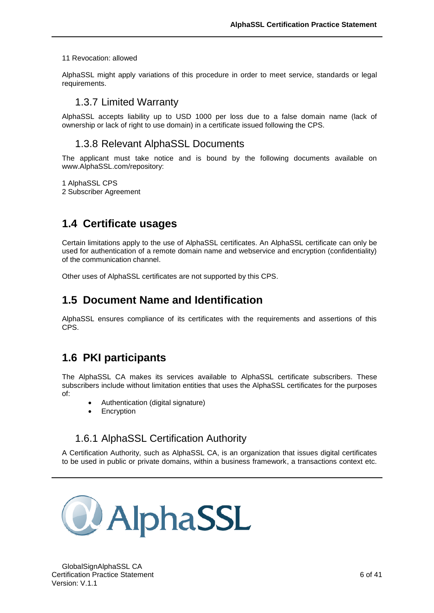#### 11 Revocation: allowed

<span id="page-8-0"></span>AlphaSSL might apply variations of this procedure in order to meet service, standards or legal requirements.

#### 1.3.7 Limited Warranty

<span id="page-8-1"></span>AlphaSSL accepts liability up to USD 1000 per loss due to a false domain name (lack of ownership or lack of right to use domain) in a certificate issued following the CPS.

#### 1.3.8 Relevant AlphaSSL Documents

The applicant must take notice and is bound by the following documents available on www.AlphaSSL.com/repository:

1 AlphaSSL CPS

2 Subscriber Agreement

### <span id="page-8-2"></span>**1.4 Certificate usages**

Certain limitations apply to the use of AlphaSSL certificates. An AlphaSSL certificate can only be used for authentication of a remote domain name and webservice and encryption (confidentiality) of the communication channel.

<span id="page-8-3"></span>Other uses of AlphaSSL certificates are not supported by this CPS.

### **1.5 Document Name and Identification**

AlphaSSL ensures compliance of its certificates with the requirements and assertions of this CPS.

## <span id="page-8-4"></span>**1.6 PKI participants**

The AlphaSSL CA makes its services available to AlphaSSL certificate subscribers. These subscribers include without limitation entities that uses the AlphaSSL certificates for the purposes of:

- Authentication (digital signature)
- <span id="page-8-5"></span>**Encryption**

### 1.6.1 AlphaSSL Certification Authority

A Certification Authority, such as AlphaSSL CA, is an organization that issues digital certificates to be used in public or private domains, within a business framework, a transactions context etc.

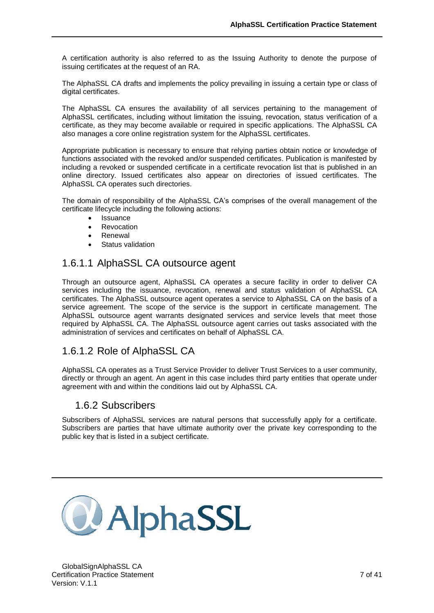A certification authority is also referred to as the Issuing Authority to denote the purpose of issuing certificates at the request of an RA.

The AlphaSSL CA drafts and implements the policy prevailing in issuing a certain type or class of digital certificates.

The AlphaSSL CA ensures the availability of all services pertaining to the management of AlphaSSL certificates, including without limitation the issuing, revocation, status verification of a certificate, as they may become available or required in specific applications. The AlphaSSL CA also manages a core online registration system for the AlphaSSL certificates.

Appropriate publication is necessary to ensure that relying parties obtain notice or knowledge of functions associated with the revoked and/or suspended certificates. Publication is manifested by including a revoked or suspended certificate in a certificate revocation list that is published in an online directory. Issued certificates also appear on directories of issued certificates. The AlphaSSL CA operates such directories.

The domain of responsibility of the AlphaSSL CA's comprises of the overall management of the certificate lifecycle including the following actions:

- Issuance
- Revocation
- Renewal
- Status validation

### 1.6.1.1 AlphaSSL CA outsource agent

Through an outsource agent, AlphaSSL CA operates a secure facility in order to deliver CA services including the issuance, revocation, renewal and status validation of AlphaSSL CA certificates. The AlphaSSL outsource agent operates a service to AlphaSSL CA on the basis of a service agreement. The scope of the service is the support in certificate management. The AlphaSSL outsource agent warrants designated services and service levels that meet those required by AlphaSSL CA. The AlphaSSL outsource agent carries out tasks associated with the administration of services and certificates on behalf of AlphaSSL CA.

### 1.6.1.2 Role of AlphaSSL CA

AlphaSSL CA operates as a Trust Service Provider to deliver Trust Services to a user community, directly or through an agent. An agent in this case includes third party entities that operate under agreement with and within the conditions laid out by AlphaSSL CA.

### <span id="page-9-0"></span>1.6.2 Subscribers

Subscribers of AlphaSSL services are natural persons that successfully apply for a certificate. Subscribers are parties that have ultimate authority over the private key corresponding to the public key that is listed in a subject certificate.

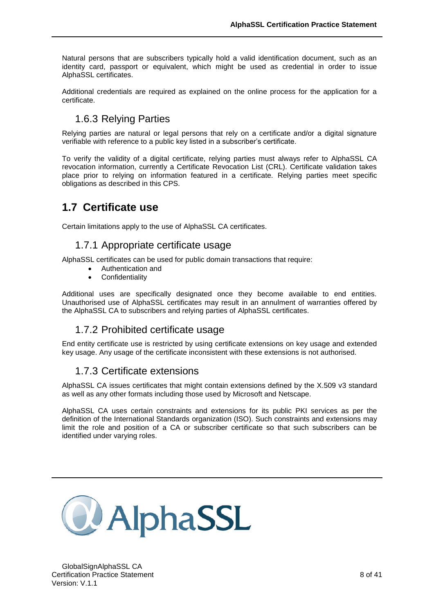Natural persons that are subscribers typically hold a valid identification document, such as an identity card, passport or equivalent, which might be used as credential in order to issue AlphaSSL certificates.

Additional credentials are required as explained on the online process for the application for a certificate.

## <span id="page-10-0"></span>1.6.3 Relying Parties

Relying parties are natural or legal persons that rely on a certificate and/or a digital signature verifiable with reference to a public key listed in a subscriber's certificate.

To verify the validity of a digital certificate, relying parties must always refer to AlphaSSL CA revocation information, currently a Certificate Revocation List (CRL). Certificate validation takes place prior to relying on information featured in a certificate. Relying parties meet specific obligations as described in this CPS.

## <span id="page-10-1"></span>**1.7 Certificate use**

<span id="page-10-2"></span>Certain limitations apply to the use of AlphaSSL CA certificates.

### 1.7.1 Appropriate certificate usage

AlphaSSL certificates can be used for public domain transactions that require:

- Authentication and
- **Confidentiality**

Additional uses are specifically designated once they become available to end entities. Unauthorised use of AlphaSSL certificates may result in an annulment of warranties offered by the AlphaSSL CA to subscribers and relying parties of AlphaSSL certificates.

#### <span id="page-10-3"></span>1.7.2 Prohibited certificate usage

<span id="page-10-4"></span>End entity certificate use is restricted by using certificate extensions on key usage and extended key usage. Any usage of the certificate inconsistent with these extensions is not authorised.

### 1.7.3 Certificate extensions

AlphaSSL CA issues certificates that might contain extensions defined by the X.509 v3 standard as well as any other formats including those used by Microsoft and Netscape.

AlphaSSL CA uses certain constraints and extensions for its public PKI services as per the definition of the International Standards organization (ISO). Such constraints and extensions may limit the role and position of a CA or subscriber certificate so that such subscribers can be identified under varying roles.

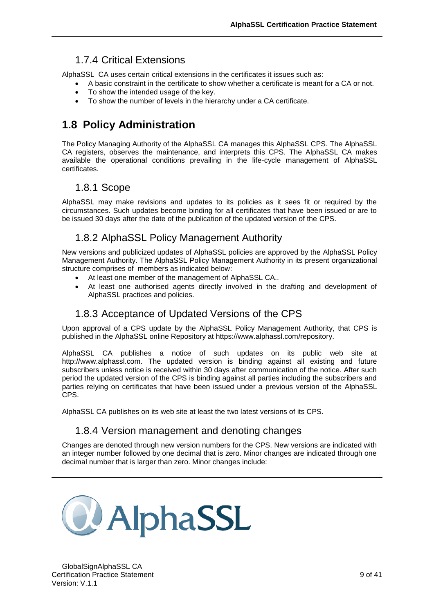## <span id="page-11-0"></span>1.7.4 Critical Extensions

AlphaSSL CA uses certain critical extensions in the certificates it issues such as:

- A basic constraint in the certificate to show whether a certificate is meant for a CA or not.
	- To show the intended usage of the key.
	- To show the number of levels in the hierarchy under a CA certificate.

## <span id="page-11-1"></span>**1.8 Policy Administration**

The Policy Managing Authority of the AlphaSSL CA manages this AlphaSSL CPS. The AlphaSSL CA registers, observes the maintenance, and interprets this CPS. The AlphaSSL CA makes available the operational conditions prevailing in the life-cycle management of AlphaSSL certificates.

## <span id="page-11-2"></span>1.8.1 Scope

AlphaSSL may make revisions and updates to its policies as it sees fit or required by the circumstances. Such updates become binding for all certificates that have been issued or are to be issued 30 days after the date of the publication of the updated version of the CPS.

### <span id="page-11-3"></span>1.8.2 AlphaSSL Policy Management Authority

New versions and publicized updates of AlphaSSL policies are approved by the AlphaSSL Policy Management Authority. The AlphaSSL Policy Management Authority in its present organizational structure comprises of members as indicated below:

- At least one member of the management of AlphaSSL CA..
- At least one authorised agents directly involved in the drafting and development of AlphaSSL practices and policies.

## <span id="page-11-4"></span>1.8.3 Acceptance of Updated Versions of the CPS

Upon approval of a CPS update by the AlphaSSL Policy Management Authority, that CPS is published in the AlphaSSL online Repository at https://www.alphassl.com/repository.

AlphaSSL CA publishes a notice of such updates on its public web site at http://www.alphassl.com. The updated version is binding against all existing and future subscribers unless notice is received within 30 days after communication of the notice. After such period the updated version of the CPS is binding against all parties including the subscribers and parties relying on certificates that have been issued under a previous version of the AlphaSSL CPS.

AlphaSSL CA publishes on its web site at least the two latest versions of its CPS.

### <span id="page-11-5"></span>1.8.4 Version management and denoting changes

Changes are denoted through new version numbers for the CPS. New versions are indicated with an integer number followed by one decimal that is zero. Minor changes are indicated through one decimal number that is larger than zero. Minor changes include:

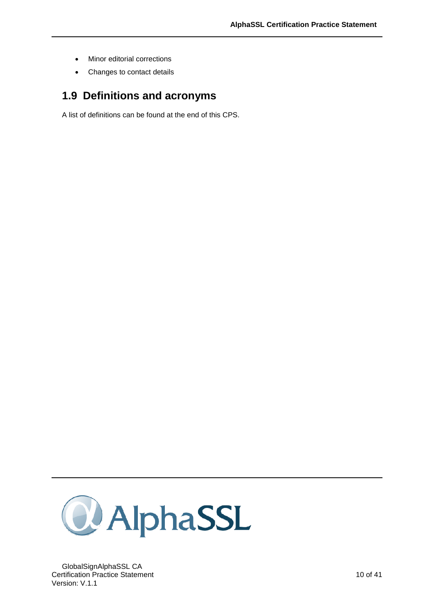- Minor editorial corrections
- Changes to contact details

## <span id="page-12-0"></span>**1.9 Definitions and acronyms**

A list of definitions can be found at the end of this CPS.

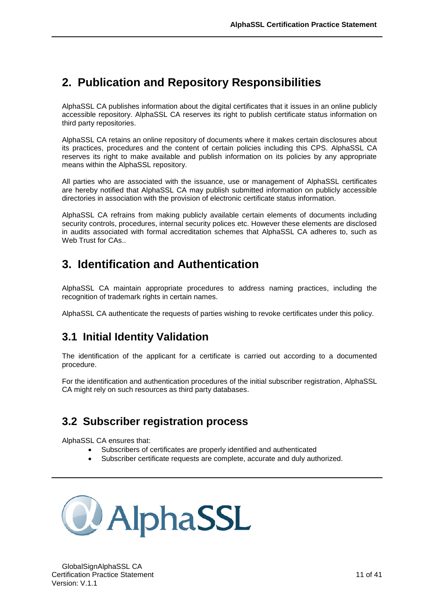## <span id="page-13-0"></span>**2. Publication and Repository Responsibilities**

AlphaSSL CA publishes information about the digital certificates that it issues in an online publicly accessible repository. AlphaSSL CA reserves its right to publish certificate status information on third party repositories.

AlphaSSL CA retains an online repository of documents where it makes certain disclosures about its practices, procedures and the content of certain policies including this CPS. AlphaSSL CA reserves its right to make available and publish information on its policies by any appropriate means within the AlphaSSL repository.

All parties who are associated with the issuance, use or management of AlphaSSL certificates are hereby notified that AlphaSSL CA may publish submitted information on publicly accessible directories in association with the provision of electronic certificate status information.

AlphaSSL CA refrains from making publicly available certain elements of documents including security controls, procedures, internal security polices etc. However these elements are disclosed in audits associated with formal accreditation schemes that AlphaSSL CA adheres to, such as Web Trust for CAs..

## <span id="page-13-1"></span>**3. Identification and Authentication**

AlphaSSL CA maintain appropriate procedures to address naming practices, including the recognition of trademark rights in certain names.

<span id="page-13-2"></span>AlphaSSL CA authenticate the requests of parties wishing to revoke certificates under this policy.

## **3.1 Initial Identity Validation**

The identification of the applicant for a certificate is carried out according to a documented procedure.

For the identification and authentication procedures of the initial subscriber registration, AlphaSSL CA might rely on such resources as third party databases.

## <span id="page-13-3"></span>**3.2 Subscriber registration process**

AlphaSSL CA ensures that:

- Subscribers of certificates are properly identified and authenticated
- Subscriber certificate requests are complete, accurate and duly authorized.

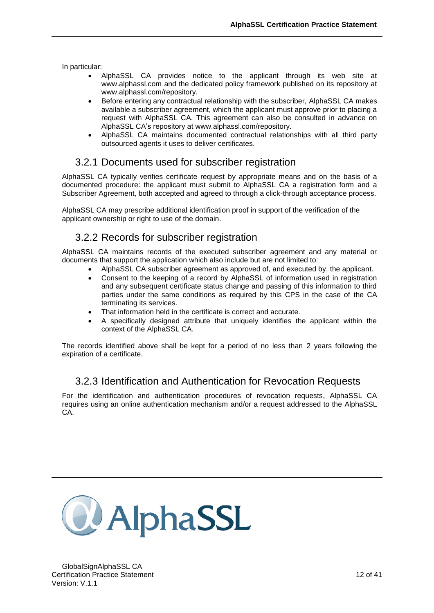In particular:

- AlphaSSL CA provides notice to the applicant through its web site at www.alphassl.com and the dedicated policy framework published on its repository at www.alphassl.com/repository.
- Before entering any contractual relationship with the subscriber, AlphaSSL CA makes available a subscriber agreement, which the applicant must approve prior to placing a request with AlphaSSL CA. This agreement can also be consulted in advance on AlphaSSL CA's repository at www.alphassl.com/repository.
- AlphaSSL CA maintains documented contractual relationships with all third party outsourced agents it uses to deliver certificates.

## <span id="page-14-0"></span>3.2.1 Documents used for subscriber registration

AlphaSSL CA typically verifies certificate request by appropriate means and on the basis of a documented procedure: the applicant must submit to AlphaSSL CA a registration form and a Subscriber Agreement, both accepted and agreed to through a click-through acceptance process.

AlphaSSL CA may prescribe additional identification proof in support of the verification of the applicant ownership or right to use of the domain.

## <span id="page-14-1"></span>3.2.2 Records for subscriber registration

AlphaSSL CA maintains records of the executed subscriber agreement and any material or documents that support the application which also include but are not limited to:

- AlphaSSL CA subscriber agreement as approved of, and executed by, the applicant.
- Consent to the keeping of a record by AlphaSSL of information used in registration and any subsequent certificate status change and passing of this information to third parties under the same conditions as required by this CPS in the case of the CA terminating its services.
- That information held in the certificate is correct and accurate.
- A specifically designed attribute that uniquely identifies the applicant within the context of the AlphaSSL CA.

The records identified above shall be kept for a period of no less than 2 years following the expiration of a certificate.

## <span id="page-14-2"></span>3.2.3 Identification and Authentication for Revocation Requests

For the identification and authentication procedures of revocation requests, AlphaSSL CA requires using an online authentication mechanism and/or a request addressed to the AlphaSSL CA.

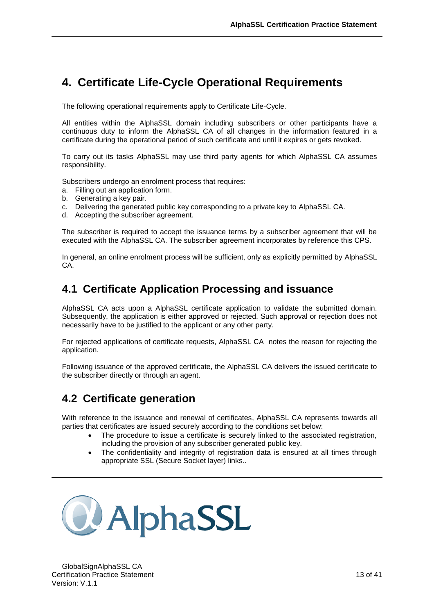## <span id="page-15-0"></span>**4. Certificate Life-Cycle Operational Requirements**

The following operational requirements apply to Certificate Life-Cycle.

All entities within the AlphaSSL domain including subscribers or other participants have a continuous duty to inform the AlphaSSL CA of all changes in the information featured in a certificate during the operational period of such certificate and until it expires or gets revoked.

To carry out its tasks AlphaSSL may use third party agents for which AlphaSSL CA assumes responsibility.

Subscribers undergo an enrolment process that requires:

- a. Filling out an application form.
- b. Generating a key pair.
- c. Delivering the generated public key corresponding to a private key to AlphaSSL CA.
- d. Accepting the subscriber agreement.

The subscriber is required to accept the issuance terms by a subscriber agreement that will be executed with the AlphaSSL CA. The subscriber agreement incorporates by reference this CPS.

In general, an online enrolment process will be sufficient, only as explicitly permitted by AlphaSSL CA.

## <span id="page-15-1"></span>**4.1 Certificate Application Processing and issuance**

AlphaSSL CA acts upon a AlphaSSL certificate application to validate the submitted domain. Subsequently, the application is either approved or rejected. Such approval or rejection does not necessarily have to be justified to the applicant or any other party.

For rejected applications of certificate requests, AlphaSSL CA notes the reason for rejecting the application.

Following issuance of the approved certificate, the AlphaSSL CA delivers the issued certificate to the subscriber directly or through an agent.

## <span id="page-15-2"></span>**4.2 Certificate generation**

With reference to the issuance and renewal of certificates, AlphaSSL CA represents towards all parties that certificates are issued securely according to the conditions set below:

- The procedure to issue a certificate is securely linked to the associated registration, including the provision of any subscriber generated public key.
- The confidentiality and integrity of registration data is ensured at all times through appropriate SSL (Secure Socket layer) links..

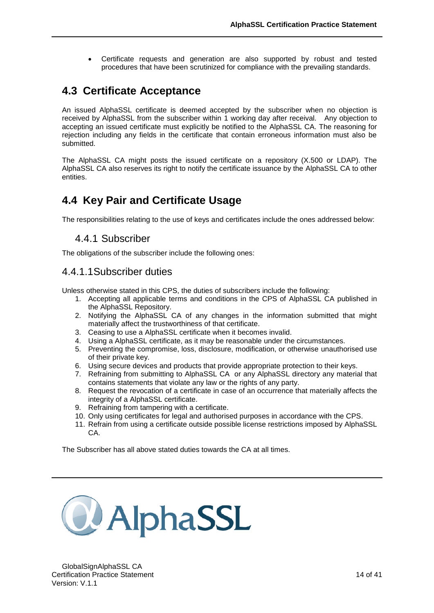<span id="page-16-0"></span> Certificate requests and generation are also supported by robust and tested procedures that have been scrutinized for compliance with the prevailing standards.

## **4.3 Certificate Acceptance**

An issued AlphaSSL certificate is deemed accepted by the subscriber when no objection is received by AlphaSSL from the subscriber within 1 working day after receival. Any objection to accepting an issued certificate must explicitly be notified to the AlphaSSL CA. The reasoning for rejection including any fields in the certificate that contain erroneous information must also be submitted.

The AlphaSSL CA might posts the issued certificate on a repository (X.500 or LDAP). The AlphaSSL CA also reserves its right to notify the certificate issuance by the AlphaSSL CA to other entities.

## <span id="page-16-1"></span>**4.4 Key Pair and Certificate Usage**

<span id="page-16-2"></span>The responsibilities relating to the use of keys and certificates include the ones addressed below:

#### 4.4.1 Subscriber

The obligations of the subscriber include the following ones:

### 4.4.1.1Subscriber duties

Unless otherwise stated in this CPS, the duties of subscribers include the following:

- 1. Accepting all applicable terms and conditions in the CPS of AlphaSSL CA published in the AlphaSSL Repository.
- 2. Notifying the AlphaSSL CA of any changes in the information submitted that might materially affect the trustworthiness of that certificate.
- 3. Ceasing to use a AlphaSSL certificate when it becomes invalid.
- 4. Using a AlphaSSL certificate, as it may be reasonable under the circumstances.
- 5. Preventing the compromise, loss, disclosure, modification, or otherwise unauthorised use of their private key.
- 6. Using secure devices and products that provide appropriate protection to their keys.
- 7. Refraining from submitting to AlphaSSL CA or any AlphaSSL directory any material that contains statements that violate any law or the rights of any party.
- 8. Request the revocation of a certificate in case of an occurrence that materially affects the integrity of a AlphaSSL certificate.
- 9. Refraining from tampering with a certificate.
- 10. Only using certificates for legal and authorised purposes in accordance with the CPS.
- 11. Refrain from using a certificate outside possible license restrictions imposed by AlphaSSL CA.

The Subscriber has all above stated duties towards the CA at all times.

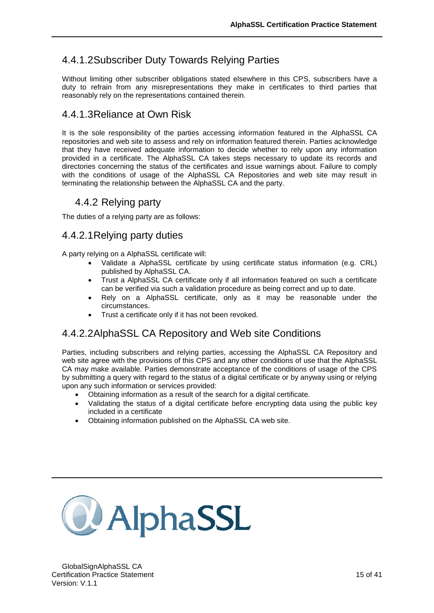## 4.4.1.2Subscriber Duty Towards Relying Parties

Without limiting other subscriber obligations stated elsewhere in this CPS, subscribers have a duty to refrain from any misrepresentations they make in certificates to third parties that reasonably rely on the representations contained therein.

## 4.4.1.3Reliance at Own Risk

It is the sole responsibility of the parties accessing information featured in the AlphaSSL CA repositories and web site to assess and rely on information featured therein. Parties acknowledge that they have received adequate information to decide whether to rely upon any information provided in a certificate. The AlphaSSL CA takes steps necessary to update its records and directories concerning the status of the certificates and issue warnings about. Failure to comply with the conditions of usage of the AlphaSSL CA Repositories and web site may result in terminating the relationship between the AlphaSSL CA and the party.

### <span id="page-17-0"></span>4.4.2 Relying party

The duties of a relying party are as follows:

## 4.4.2.1Relying party duties

A party relying on a AlphaSSL certificate will:

- Validate a AlphaSSL certificate by using certificate status information (e.g. CRL) published by AlphaSSL CA.
- Trust a AlphaSSL CA certificate only if all information featured on such a certificate can be verified via such a validation procedure as being correct and up to date.
- Rely on a AlphaSSL certificate, only as it may be reasonable under the circumstances.
- Trust a certificate only if it has not been revoked.

### 4.4.2.2AlphaSSL CA Repository and Web site Conditions

Parties, including subscribers and relying parties, accessing the AlphaSSL CA Repository and web site agree with the provisions of this CPS and any other conditions of use that the AlphaSSL CA may make available. Parties demonstrate acceptance of the conditions of usage of the CPS by submitting a query with regard to the status of a digital certificate or by anyway using or relying upon any such information or services provided:

- Obtaining information as a result of the search for a digital certificate.
- Validating the status of a digital certificate before encrypting data using the public key included in a certificate
- Obtaining information published on the AlphaSSL CA web site.

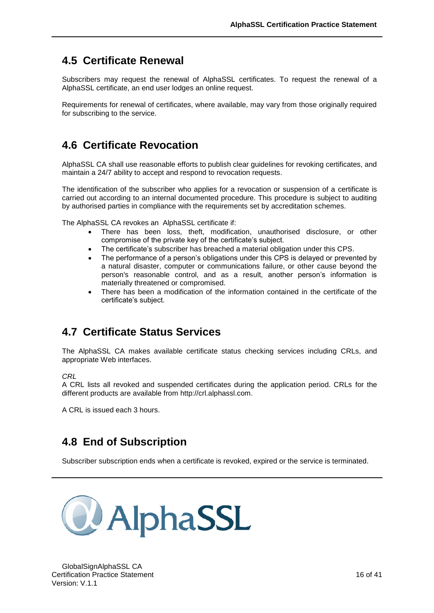## **4.5 Certificate Renewal**

<span id="page-18-0"></span>Subscribers may request the renewal of AlphaSSL certificates. To request the renewal of a AlphaSSL certificate, an end user lodges an online request.

Requirements for renewal of certificates, where available, may vary from those originally required for subscribing to the service.

## <span id="page-18-1"></span>**4.6 Certificate Revocation**

AlphaSSL CA shall use reasonable efforts to publish clear guidelines for revoking certificates, and maintain a 24/7 ability to accept and respond to revocation requests.

The identification of the subscriber who applies for a revocation or suspension of a certificate is carried out according to an internal documented procedure. This procedure is subject to auditing by authorised parties in compliance with the requirements set by accreditation schemes.

The AlphaSSL CA revokes an AlphaSSL certificate if:

- There has been loss, theft, modification, unauthorised disclosure, or other compromise of the private key of the certificate's subject.
- The certificate's subscriber has breached a material obligation under this CPS.
- The performance of a person's obligations under this CPS is delayed or prevented by a natural disaster, computer or communications failure, or other cause beyond the person's reasonable control, and as a result, another person's information is materially threatened or compromised.
- There has been a modification of the information contained in the certificate of the certificate's subject.

## <span id="page-18-2"></span>**4.7 Certificate Status Services**

The AlphaSSL CA makes available certificate status checking services including CRLs, and appropriate Web interfaces.

*CRL*

A CRL lists all revoked and suspended certificates during the application period. CRLs for the different products are available from http://crl.alphassl.com.

A CRL is issued each 3 hours.

## <span id="page-18-3"></span>**4.8 End of Subscription**

Subscriber subscription ends when a certificate is revoked, expired or the service is terminated.

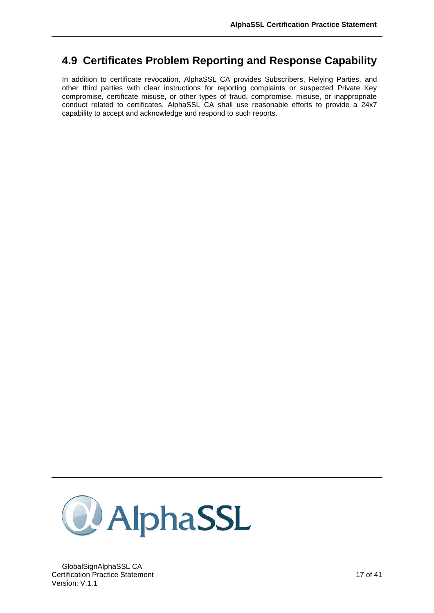## **4.9 Certificates Problem Reporting and Response Capability**

<span id="page-19-0"></span>In addition to certificate revocation, AlphaSSL CA provides Subscribers, Relying Parties, and other third parties with clear instructions for reporting complaints or suspected Private Key compromise, certificate misuse, or other types of fraud, compromise, misuse, or inappropriate conduct related to certificates. AlphaSSL CA shall use reasonable efforts to provide a 24x7 capability to accept and acknowledge and respond to such reports.



GlobalSignAlphaSSL CA Certification Practice Statement 17 of 41 Version: V.1.1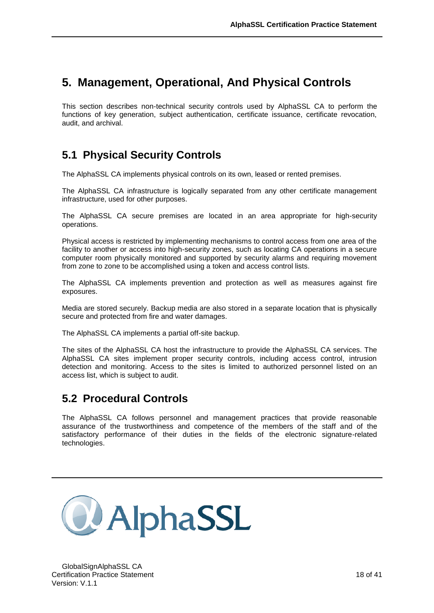## <span id="page-20-0"></span>**5. Management, Operational, And Physical Controls**

This section describes non-technical security controls used by AlphaSSL CA to perform the functions of key generation, subject authentication, certificate issuance, certificate revocation, audit, and archival.

## <span id="page-20-1"></span>**5.1 Physical Security Controls**

The AlphaSSL CA implements physical controls on its own, leased or rented premises.

The AlphaSSL CA infrastructure is logically separated from any other certificate management infrastructure, used for other purposes.

The AlphaSSL CA secure premises are located in an area appropriate for high-security operations.

Physical access is restricted by implementing mechanisms to control access from one area of the facility to another or access into high-security zones, such as locating CA operations in a secure computer room physically monitored and supported by security alarms and requiring movement from zone to zone to be accomplished using a token and access control lists.

The AlphaSSL CA implements prevention and protection as well as measures against fire exposures.

Media are stored securely. Backup media are also stored in a separate location that is physically secure and protected from fire and water damages.

The AlphaSSL CA implements a partial off-site backup.

The sites of the AlphaSSL CA host the infrastructure to provide the AlphaSSL CA services. The AlphaSSL CA sites implement proper security controls, including access control, intrusion detection and monitoring. Access to the sites is limited to authorized personnel listed on an access list, which is subject to audit.

## <span id="page-20-2"></span>**5.2 Procedural Controls**

The AlphaSSL CA follows personnel and management practices that provide reasonable assurance of the trustworthiness and competence of the members of the staff and of the satisfactory performance of their duties in the fields of the electronic signature-related technologies.

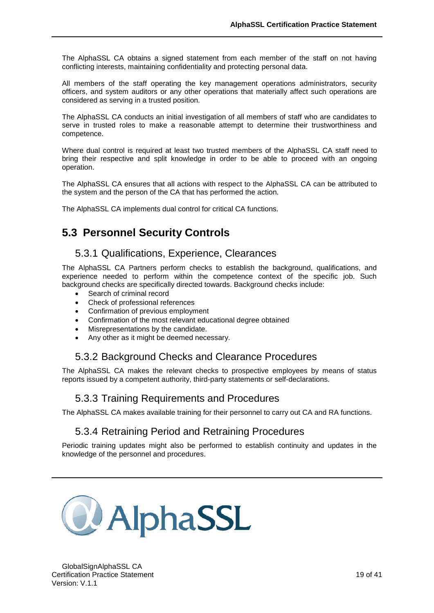The AlphaSSL CA obtains a signed statement from each member of the staff on not having conflicting interests, maintaining confidentiality and protecting personal data.

All members of the staff operating the key management operations administrators, security officers, and system auditors or any other operations that materially affect such operations are considered as serving in a trusted position.

The AlphaSSL CA conducts an initial investigation of all members of staff who are candidates to serve in trusted roles to make a reasonable attempt to determine their trustworthiness and competence.

Where dual control is required at least two trusted members of the AlphaSSL CA staff need to bring their respective and split knowledge in order to be able to proceed with an ongoing operation.

The AlphaSSL CA ensures that all actions with respect to the AlphaSSL CA can be attributed to the system and the person of the CA that has performed the action.

<span id="page-21-0"></span>The AlphaSSL CA implements dual control for critical CA functions.

## **5.3 Personnel Security Controls**

#### <span id="page-21-1"></span>5.3.1 Qualifications, Experience, Clearances

The AlphaSSL CA Partners perform checks to establish the background, qualifications, and experience needed to perform within the competence context of the specific job. Such background checks are specifically directed towards. Background checks include:

- Search of criminal record
- Check of professional references
- Confirmation of previous employment
- Confirmation of the most relevant educational degree obtained
- Misrepresentations by the candidate.
- <span id="page-21-2"></span>Any other as it might be deemed necessary.

#### 5.3.2 Background Checks and Clearance Procedures

<span id="page-21-3"></span>The AlphaSSL CA makes the relevant checks to prospective employees by means of status reports issued by a competent authority, third-party statements or self-declarations.

#### 5.3.3 Training Requirements and Procedures

<span id="page-21-4"></span>The AlphaSSL CA makes available training for their personnel to carry out CA and RA functions.

### 5.3.4 Retraining Period and Retraining Procedures

Periodic training updates might also be performed to establish continuity and updates in the knowledge of the personnel and procedures.

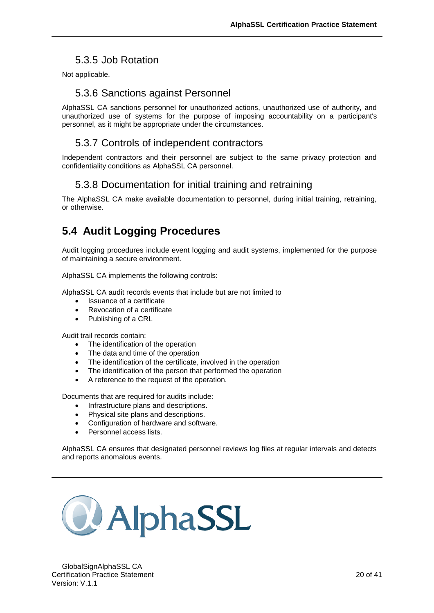## 5.3.5 Job Rotation

<span id="page-22-1"></span><span id="page-22-0"></span>Not applicable.

### 5.3.6 Sanctions against Personnel

AlphaSSL CA sanctions personnel for unauthorized actions, unauthorized use of authority, and unauthorized use of systems for the purpose of imposing accountability on a participant's personnel, as it might be appropriate under the circumstances.

### <span id="page-22-2"></span>5.3.7 Controls of independent contractors

<span id="page-22-3"></span>Independent contractors and their personnel are subject to the same privacy protection and confidentiality conditions as AlphaSSL CA personnel.

## 5.3.8 Documentation for initial training and retraining

The AlphaSSL CA make available documentation to personnel, during initial training, retraining, or otherwise.

## <span id="page-22-4"></span>**5.4 Audit Logging Procedures**

Audit logging procedures include event logging and audit systems, implemented for the purpose of maintaining a secure environment.

AlphaSSL CA implements the following controls:

AlphaSSL CA audit records events that include but are not limited to

- Issuance of a certificate
- Revocation of a certificate
- Publishing of a CRL

Audit trail records contain:

- The identification of the operation
- The data and time of the operation
- The identification of the certificate, involved in the operation
- The identification of the person that performed the operation
- A reference to the request of the operation.

Documents that are required for audits include:

- Infrastructure plans and descriptions.
- Physical site plans and descriptions.
- Configuration of hardware and software.
- Personnel access lists.

AlphaSSL CA ensures that designated personnel reviews log files at regular intervals and detects and reports anomalous events.

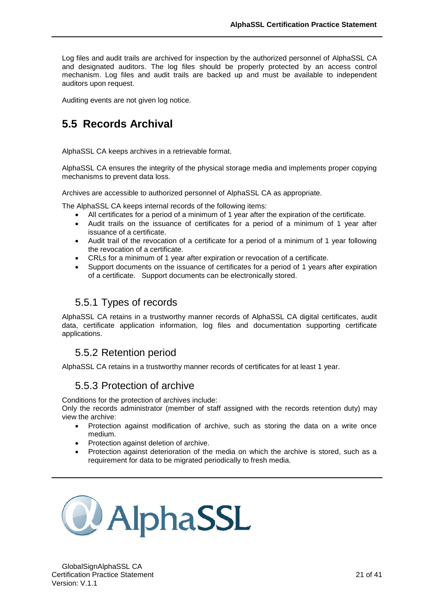Log files and audit trails are archived for inspection by the authorized personnel of AlphaSSL CA and designated auditors. The log files should be properly protected by an access control mechanism. Log files and audit trails are backed up and must be available to independent auditors upon request.

<span id="page-23-0"></span>Auditing events are not given log notice.

## **5.5 Records Archival**

AlphaSSL CA keeps archives in a retrievable format.

AlphaSSL CA ensures the integrity of the physical storage media and implements proper copying mechanisms to prevent data loss.

Archives are accessible to authorized personnel of AlphaSSL CA as appropriate.

The AlphaSSL CA keeps internal records of the following items:

- All certificates for a period of a minimum of 1 year after the expiration of the certificate.
- Audit trails on the issuance of certificates for a period of a minimum of 1 year after issuance of a certificate.
- Audit trail of the revocation of a certificate for a period of a minimum of 1 year following the revocation of a certificate.
- CRLs for a minimum of 1 year after expiration or revocation of a certificate.
- Support documents on the issuance of certificates for a period of 1 years after expiration of a certificate. Support documents can be electronically stored.

### <span id="page-23-1"></span>5.5.1 Types of records

AlphaSSL CA retains in a trustworthy manner records of AlphaSSL CA digital certificates, audit data, certificate application information, log files and documentation supporting certificate applications.

### <span id="page-23-2"></span>5.5.2 Retention period

<span id="page-23-3"></span>AlphaSSL CA retains in a trustworthy manner records of certificates for at least 1 year.

#### 5.5.3 Protection of archive

Conditions for the protection of archives include:

Only the records administrator (member of staff assigned with the records retention duty) may view the archive:

- Protection against modification of archive, such as storing the data on a write once medium.
- Protection against deletion of archive.
- Protection against deterioration of the media on which the archive is stored, such as a requirement for data to be migrated periodically to fresh media.

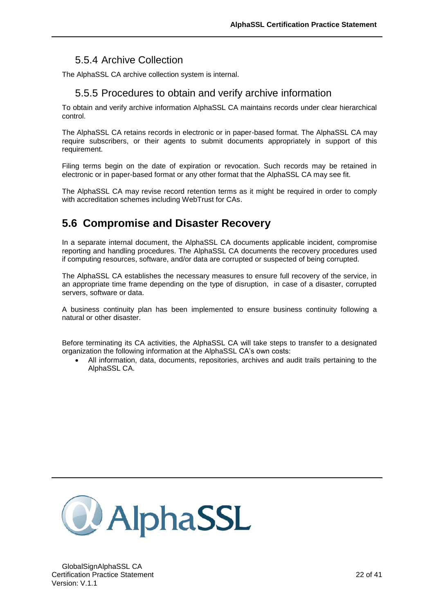## 5.5.4 Archive Collection

<span id="page-24-1"></span><span id="page-24-0"></span>The AlphaSSL CA archive collection system is internal.

### 5.5.5 Procedures to obtain and verify archive information

To obtain and verify archive information AlphaSSL CA maintains records under clear hierarchical control.

The AlphaSSL CA retains records in electronic or in paper-based format. The AlphaSSL CA may require subscribers, or their agents to submit documents appropriately in support of this requirement.

Filing terms begin on the date of expiration or revocation. Such records may be retained in electronic or in paper-based format or any other format that the AlphaSSL CA may see fit.

The AlphaSSL CA may revise record retention terms as it might be required in order to comply with accreditation schemes including WebTrust for CAs.

## <span id="page-24-2"></span>**5.6 Compromise and Disaster Recovery**

In a separate internal document, the AlphaSSL CA documents applicable incident, compromise reporting and handling procedures. The AlphaSSL CA documents the recovery procedures used if computing resources, software, and/or data are corrupted or suspected of being corrupted.

The AlphaSSL CA establishes the necessary measures to ensure full recovery of the service, in an appropriate time frame depending on the type of disruption, in case of a disaster, corrupted servers, software or data.

A business continuity plan has been implemented to ensure business continuity following a natural or other disaster.

Before terminating its CA activities, the AlphaSSL CA will take steps to transfer to a designated organization the following information at the AlphaSSL CA's own costs:

 All information, data, documents, repositories, archives and audit trails pertaining to the AlphaSSL CA.

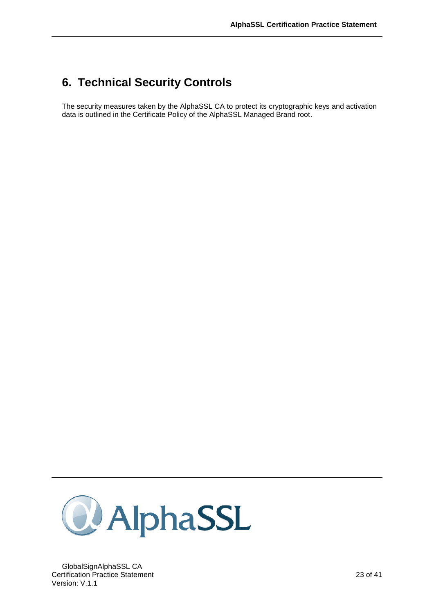## <span id="page-25-0"></span>**6. Technical Security Controls**

The security measures taken by the AlphaSSL CA to protect its cryptographic keys and activation data is outlined in the Certificate Policy of the AlphaSSL Managed Brand root.



GlobalSignAlphaSSL CA Certification Practice Statement 23 of 41 Version: V.1.1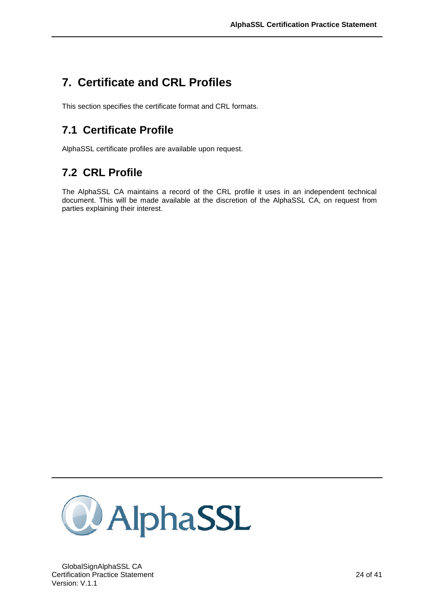## <span id="page-26-0"></span>**7. Certificate and CRL Profiles**

<span id="page-26-1"></span>This section specifies the certificate format and CRL formats.

## **7.1 Certificate Profile**

<span id="page-26-2"></span>AlphaSSL certificate profiles are available upon request.

## **7.2 CRL Profile**

The AlphaSSL CA maintains a record of the CRL profile it uses in an independent technical document. This will be made available at the discretion of the AlphaSSL CA, on request from parties explaining their interest.

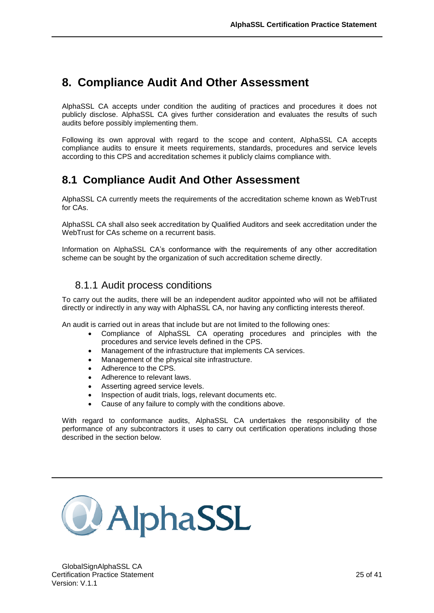## <span id="page-27-0"></span>**8. Compliance Audit And Other Assessment**

AlphaSSL CA accepts under condition the auditing of practices and procedures it does not publicly disclose. AlphaSSL CA gives further consideration and evaluates the results of such audits before possibly implementing them.

Following its own approval with regard to the scope and content, AlphaSSL CA accepts compliance audits to ensure it meets requirements, standards, procedures and service levels according to this CPS and accreditation schemes it publicly claims compliance with.

## <span id="page-27-1"></span>**8.1 Compliance Audit And Other Assessment**

AlphaSSL CA currently meets the requirements of the accreditation scheme known as WebTrust for CAs.

AlphaSSL CA shall also seek accreditation by Qualified Auditors and seek accreditation under the WebTrust for CAs scheme on a recurrent basis.

Information on AlphaSSL CA's conformance with the requirements of any other accreditation scheme can be sought by the organization of such accreditation scheme directly.

### <span id="page-27-2"></span>8.1.1 Audit process conditions

To carry out the audits, there will be an independent auditor appointed who will not be affiliated directly or indirectly in any way with AlphaSSL CA, nor having any conflicting interests thereof.

An audit is carried out in areas that include but are not limited to the following ones:

- Compliance of AlphaSSL CA operating procedures and principles with the procedures and service levels defined in the CPS.
- Management of the infrastructure that implements CA services.
- Management of the physical site infrastructure.
- Adherence to the CPS.
- Adherence to relevant laws.
- Asserting agreed service levels.
- Inspection of audit trials, logs, relevant documents etc.
- Cause of any failure to comply with the conditions above.

With regard to conformance audits, AlphaSSL CA undertakes the responsibility of the performance of any subcontractors it uses to carry out certification operations including those described in the section below.

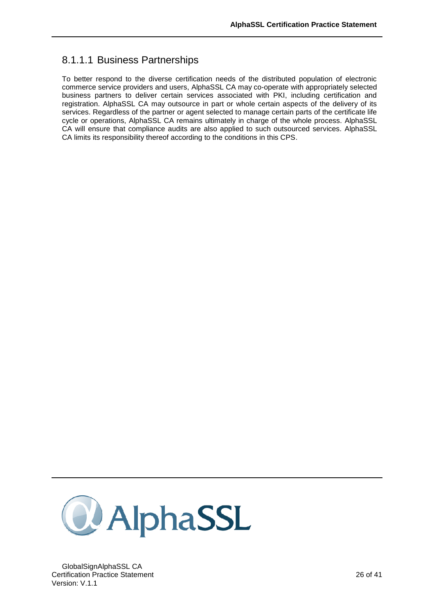## 8.1.1.1 Business Partnerships

To better respond to the diverse certification needs of the distributed population of electronic commerce service providers and users, AlphaSSL CA may co-operate with appropriately selected business partners to deliver certain services associated with PKI, including certification and registration. AlphaSSL CA may outsource in part or whole certain aspects of the delivery of its services. Regardless of the partner or agent selected to manage certain parts of the certificate life cycle or operations, AlphaSSL CA remains ultimately in charge of the whole process. AlphaSSL CA will ensure that compliance audits are also applied to such outsourced services. AlphaSSL CA limits its responsibility thereof according to the conditions in this CPS.



GlobalSignAlphaSSL CA Certification Practice Statement 26 of 41 Version: V.1.1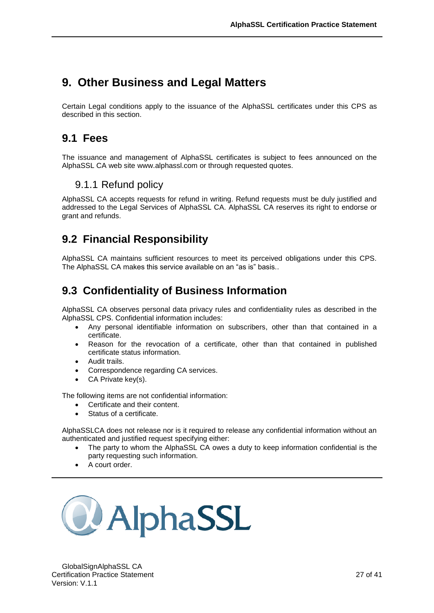## <span id="page-29-0"></span>**9. Other Business and Legal Matters**

Certain Legal conditions apply to the issuance of the AlphaSSL certificates under this CPS as described in this section.

## <span id="page-29-1"></span>**9.1 Fees**

The issuance and management of AlphaSSL certificates is subject to fees announced on the AlphaSSL CA web site www.alphassl.com or through requested quotes.

## <span id="page-29-2"></span>9.1.1 Refund policy

AlphaSSL CA accepts requests for refund in writing. Refund requests must be duly justified and addressed to the Legal Services of AlphaSSL CA. AlphaSSL CA reserves its right to endorse or grant and refunds.

## <span id="page-29-3"></span>**9.2 Financial Responsibility**

AlphaSSL CA maintains sufficient resources to meet its perceived obligations under this CPS. The AlphaSSL CA makes this service available on an "as is" basis..

## <span id="page-29-4"></span>**9.3 Confidentiality of Business Information**

AlphaSSL CA observes personal data privacy rules and confidentiality rules as described in the AlphaSSL CPS. Confidential information includes:

- Any personal identifiable information on subscribers, other than that contained in a certificate.
- Reason for the revocation of a certificate, other than that contained in published certificate status information.
- Audit trails.
- Correspondence regarding CA services.
- CA Private key(s).

The following items are not confidential information:

- Certificate and their content.
- Status of a certificate.

AlphaSSLCA does not release nor is it required to release any confidential information without an authenticated and justified request specifying either:

- The party to whom the AlphaSSL CA owes a duty to keep information confidential is the party requesting such information.
- A court order.

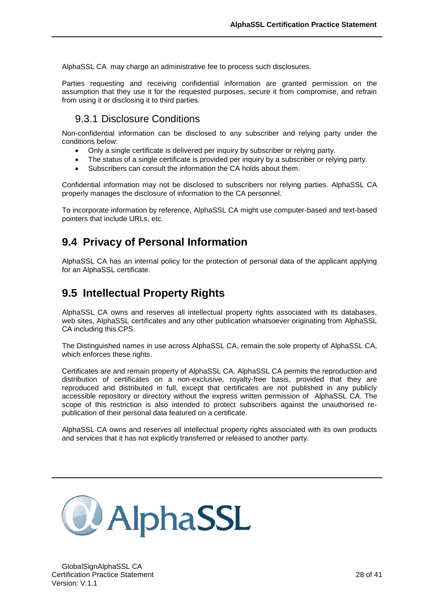AlphaSSL CA may charge an administrative fee to process such disclosures.

Parties requesting and receiving confidential information are granted permission on the assumption that they use it for the requested purposes, secure it from compromise, and refrain from using it or disclosing it to third parties.

## <span id="page-30-0"></span>9.3.1 Disclosure Conditions

Non-confidential information can be disclosed to any subscriber and relying party under the conditions below:

- Only a single certificate is delivered per inquiry by subscriber or relying party.
- The status of a single certificate is provided per inquiry by a subscriber or relying party.
- Subscribers can consult the information the CA holds about them.

Confidential information may not be disclosed to subscribers nor relying parties. AlphaSSL CA properly manages the disclosure of information to the CA personnel.

To incorporate information by reference, AlphaSSL CA might use computer-based and text-based pointers that include URLs, etc.

## <span id="page-30-1"></span>**9.4 Privacy of Personal Information**

AlphaSSL CA has an internal policy for the protection of personal data of the applicant applying for an AlphaSSL certificate.

## <span id="page-30-2"></span>**9.5 Intellectual Property Rights**

AlphaSSL CA owns and reserves all intellectual property rights associated with its databases, web sites, AlphaSSL certificates and any other publication whatsoever originating from AlphaSSL CA including this CPS.

The Distinguished names in use across AlphaSSL CA, remain the sole property of AlphaSSL CA, which enforces these rights.

Certificates are and remain property of AlphaSSL CA. AlphaSSL CA permits the reproduction and distribution of certificates on a non-exclusive, royalty-free basis, provided that they are reproduced and distributed in full, except that certificates are not published in any publicly accessible repository or directory without the express written permission of AlphaSSL CA. The scope of this restriction is also intended to protect subscribers against the unauthorised republication of their personal data featured on a certificate.

AlphaSSL CA owns and reserves all intellectual property rights associated with its own products and services that it has not explicitly transferred or released to another party.

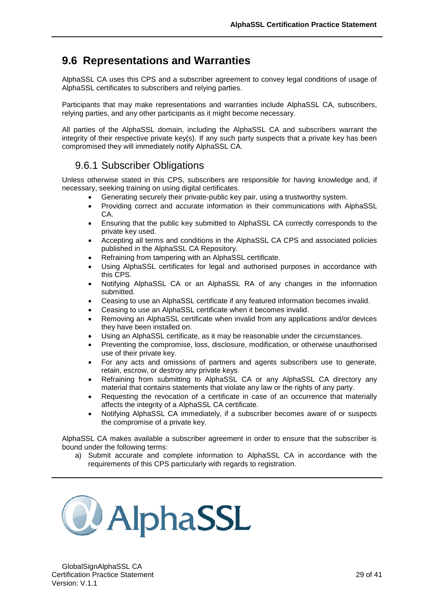## **9.6 Representations and Warranties**

<span id="page-31-0"></span>AlphaSSL CA uses this CPS and a subscriber agreement to convey legal conditions of usage of AlphaSSL certificates to subscribers and relying parties.

Participants that may make representations and warranties include AlphaSSL CA, subscribers, relying parties, and any other participants as it might become necessary.

All parties of the AlphaSSL domain, including the AlphaSSL CA and subscribers warrant the integrity of their respective private key(s). If any such party suspects that a private key has been compromised they will immediately notify AlphaSSL CA.

### <span id="page-31-1"></span>9.6.1 Subscriber Obligations

Unless otherwise stated in this CPS, subscribers are responsible for having knowledge and, if necessary, seeking training on using digital certificates.

- Generating securely their private-public key pair, using a trustworthy system.
- Providing correct and accurate information in their communications with AlphaSSL CA.
- Ensuring that the public key submitted to AlphaSSL CA correctly corresponds to the private key used.
- Accepting all terms and conditions in the AlphaSSL CA CPS and associated policies published in the AlphaSSL CA Repository.
- Refraining from tampering with an AlphaSSL certificate.
- Using AlphaSSL certificates for legal and authorised purposes in accordance with this CPS.
- Notifying AlphaSSL CA or an AlphaSSL RA of any changes in the information submitted.
- Ceasing to use an AlphaSSL certificate if any featured information becomes invalid.
- Ceasing to use an AlphaSSL certificate when it becomes invalid.
- Removing an AlphaSSL certificate when invalid from any applications and/or devices they have been installed on.
- Using an AlphaSSL certificate, as it may be reasonable under the circumstances.
- Preventing the compromise, loss, disclosure, modification, or otherwise unauthorised use of their private key.
- For any acts and omissions of partners and agents subscribers use to generate, retain, escrow, or destroy any private keys.
- Refraining from submitting to AlphaSSL CA or any AlphaSSL CA directory any material that contains statements that violate any law or the rights of any party.
- Requesting the revocation of a certificate in case of an occurrence that materially affects the integrity of a AlphaSSL CA certificate.
- Notifying AlphaSSL CA immediately, if a subscriber becomes aware of or suspects the compromise of a private key.

AlphaSSL CA makes available a subscriber agreement in order to ensure that the subscriber is bound under the following terms:

a) Submit accurate and complete information to AlphaSSL CA in accordance with the requirements of this CPS particularly with regards to registration.

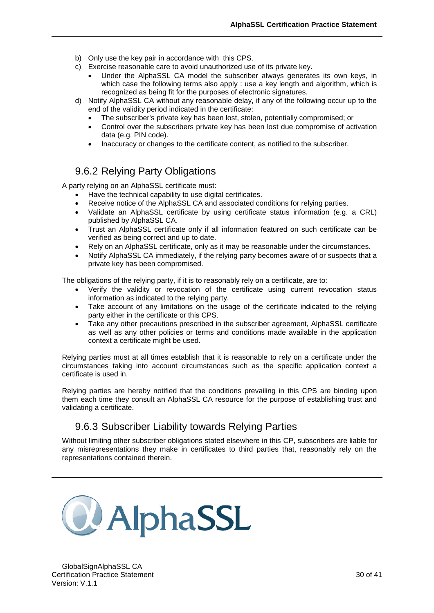- b) Only use the key pair in accordance with this CPS.
- c) Exercise reasonable care to avoid unauthorized use of its private key.
	- Under the AlphaSSL CA model the subscriber always generates its own keys, in which case the following terms also apply : use a key length and algorithm, which is recognized as being fit for the purposes of electronic signatures.
- d) Notify AlphaSSL CA without any reasonable delay, if any of the following occur up to the end of the validity period indicated in the certificate:
	- The subscriber's private key has been lost, stolen, potentially compromised; or
	- Control over the subscribers private key has been lost due compromise of activation data (e.g. PIN code).
	- Inaccuracy or changes to the certificate content, as notified to the subscriber.

### <span id="page-32-0"></span>9.6.2 Relying Party Obligations

A party relying on an AlphaSSL certificate must:

- Have the technical capability to use digital certificates.
- Receive notice of the AlphaSSL CA and associated conditions for relying parties.
- Validate an AlphaSSL certificate by using certificate status information (e.g. a CRL) published by AlphaSSL CA.
- Trust an AlphaSSL certificate only if all information featured on such certificate can be verified as being correct and up to date.
- Rely on an AlphaSSL certificate, only as it may be reasonable under the circumstances.
- Notify AlphaSSL CA immediately, if the relying party becomes aware of or suspects that a private key has been compromised.

The obligations of the relying party, if it is to reasonably rely on a certificate, are to:

- Verify the validity or revocation of the certificate using current revocation status information as indicated to the relying party.
- Take account of any limitations on the usage of the certificate indicated to the relying party either in the certificate or this CPS.
- Take any other precautions prescribed in the subscriber agreement, AlphaSSL certificate as well as any other policies or terms and conditions made available in the application context a certificate might be used.

Relying parties must at all times establish that it is reasonable to rely on a certificate under the circumstances taking into account circumstances such as the specific application context a certificate is used in.

Relying parties are hereby notified that the conditions prevailing in this CPS are binding upon them each time they consult an AlphaSSL CA resource for the purpose of establishing trust and validating a certificate.

### <span id="page-32-1"></span>9.6.3 Subscriber Liability towards Relying Parties

Without limiting other subscriber obligations stated elsewhere in this CP, subscribers are liable for any misrepresentations they make in certificates to third parties that, reasonably rely on the representations contained therein.

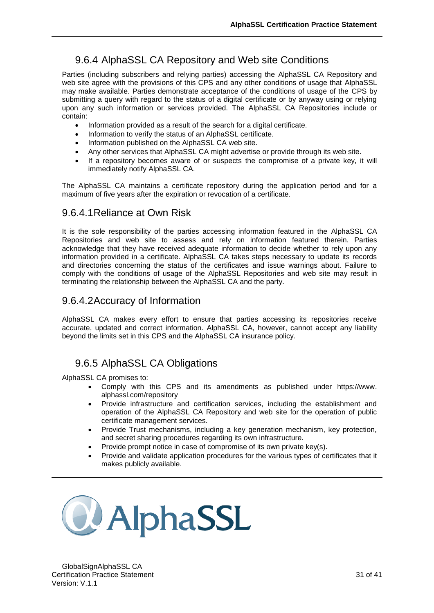## <span id="page-33-0"></span>9.6.4 AlphaSSL CA Repository and Web site Conditions

Parties (including subscribers and relying parties) accessing the AlphaSSL CA Repository and web site agree with the provisions of this CPS and any other conditions of usage that AlphaSSL may make available. Parties demonstrate acceptance of the conditions of usage of the CPS by submitting a query with regard to the status of a digital certificate or by anyway using or relying upon any such information or services provided. The AlphaSSL CA Repositories include or contain:

- Information provided as a result of the search for a digital certificate.
- Information to verify the status of an AlphaSSL certificate.
- Information published on the AlphaSSL CA web site.
- Any other services that AlphaSSL CA might advertise or provide through its web site.
- If a repository becomes aware of or suspects the compromise of a private key, it will immediately notify AlphaSSL CA.

The AlphaSSL CA maintains a certificate repository during the application period and for a maximum of five years after the expiration or revocation of a certificate.

### 9.6.4.1Reliance at Own Risk

It is the sole responsibility of the parties accessing information featured in the AlphaSSL CA Repositories and web site to assess and rely on information featured therein. Parties acknowledge that they have received adequate information to decide whether to rely upon any information provided in a certificate. AlphaSSL CA takes steps necessary to update its records and directories concerning the status of the certificates and issue warnings about. Failure to comply with the conditions of usage of the AlphaSSL Repositories and web site may result in terminating the relationship between the AlphaSSL CA and the party.

#### 9.6.4.2Accuracy of Information

AlphaSSL CA makes every effort to ensure that parties accessing its repositories receive accurate, updated and correct information. AlphaSSL CA, however, cannot accept any liability beyond the limits set in this CPS and the AlphaSSL CA insurance policy.

### <span id="page-33-1"></span>9.6.5 AlphaSSL CA Obligations

AlphaSSL CA promises to:

- Comply with this CPS and its amendments as published under https://www. alphassl.com/repository
- Provide infrastructure and certification services, including the establishment and operation of the AlphaSSL CA Repository and web site for the operation of public certificate management services.
- Provide Trust mechanisms, including a key generation mechanism, key protection, and secret sharing procedures regarding its own infrastructure.
- Provide prompt notice in case of compromise of its own private key(s).
- Provide and validate application procedures for the various types of certificates that it makes publicly available.

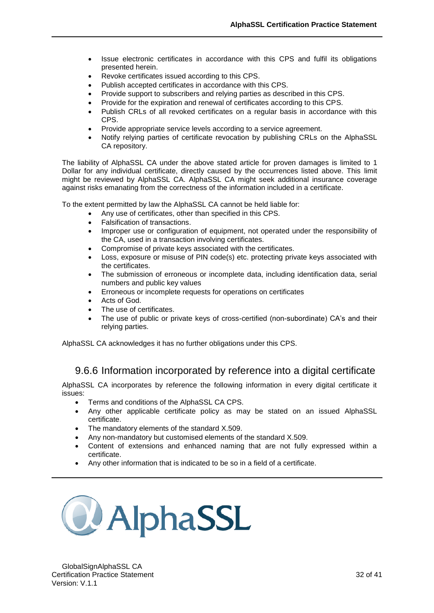- Issue electronic certificates in accordance with this CPS and fulfil its obligations presented herein.
- Revoke certificates issued according to this CPS.
- Publish accepted certificates in accordance with this CPS.
- Provide support to subscribers and relying parties as described in this CPS.
- Provide for the expiration and renewal of certificates according to this CPS.
- Publish CRLs of all revoked certificates on a regular basis in accordance with this CPS.
- Provide appropriate service levels according to a service agreement.
- Notify relying parties of certificate revocation by publishing CRLs on the AlphaSSL CA repository.

The liability of AlphaSSL CA under the above stated article for proven damages is limited to 1 Dollar for any individual certificate, directly caused by the occurrences listed above. This limit might be reviewed by AlphaSSL CA. AlphaSSL CA might seek additional insurance coverage against risks emanating from the correctness of the information included in a certificate.

To the extent permitted by law the AlphaSSL CA cannot be held liable for:

- Any use of certificates, other than specified in this CPS.
- Falsification of transactions.
- Improper use or configuration of equipment, not operated under the responsibility of the CA, used in a transaction involving certificates.
- Compromise of private keys associated with the certificates.
- Loss, exposure or misuse of PIN code(s) etc. protecting private keys associated with the certificates.
- The submission of erroneous or incomplete data, including identification data, serial numbers and public key values
- Erroneous or incomplete requests for operations on certificates
- Acts of God.
- The use of certificates.
- The use of public or private keys of cross-certified (non-subordinate) CA's and their relying parties.

AlphaSSL CA acknowledges it has no further obligations under this CPS.

### <span id="page-34-0"></span>9.6.6 Information incorporated by reference into a digital certificate

AlphaSSL CA incorporates by reference the following information in every digital certificate it issues:

- Terms and conditions of the AlphaSSL CA CPS.
- Any other applicable certificate policy as may be stated on an issued AlphaSSL certificate.
- The mandatory elements of the standard X.509.
- Any non-mandatory but customised elements of the standard X.509.
- Content of extensions and enhanced naming that are not fully expressed within a certificate.
- Any other information that is indicated to be so in a field of a certificate.

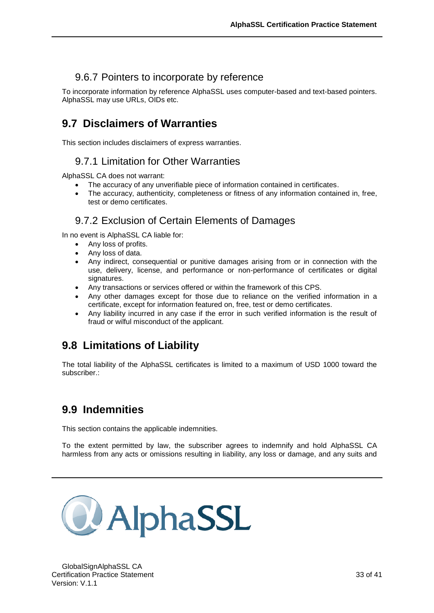## <span id="page-35-0"></span>9.6.7 Pointers to incorporate by reference

To incorporate information by reference AlphaSSL uses computer-based and text-based pointers. AlphaSSL may use URLs, OIDs etc.

## <span id="page-35-1"></span>**9.7 Disclaimers of Warranties**

<span id="page-35-2"></span>This section includes disclaimers of express warranties.

### 9.7.1 Limitation for Other Warranties

AlphaSSL CA does not warrant:

- The accuracy of any unverifiable piece of information contained in certificates.
- The accuracy, authenticity, completeness or fitness of any information contained in, free, test or demo certificates.

### <span id="page-35-3"></span>9.7.2 Exclusion of Certain Elements of Damages

In no event is AlphaSSL CA liable for:

- Any loss of profits.
- Any loss of data.
- Any indirect, consequential or punitive damages arising from or in connection with the use, delivery, license, and performance or non-performance of certificates or digital signatures.
- Any transactions or services offered or within the framework of this CPS.
- Any other damages except for those due to reliance on the verified information in a certificate, except for information featured on, free, test or demo certificates.
- Any liability incurred in any case if the error in such verified information is the result of fraud or wilful misconduct of the applicant.

## <span id="page-35-4"></span>**9.8 Limitations of Liability**

The total liability of the AlphaSSL certificates is limited to a maximum of USD 1000 toward the subscriber.:

## <span id="page-35-5"></span>**9.9 Indemnities**

This section contains the applicable indemnities.

To the extent permitted by law, the subscriber agrees to indemnify and hold AlphaSSL CA harmless from any acts or omissions resulting in liability, any loss or damage, and any suits and

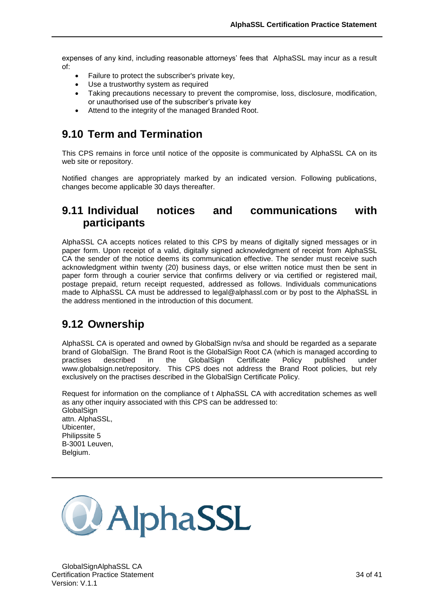expenses of any kind, including reasonable attorneys' fees that AlphaSSL may incur as a result of:

- Failure to protect the subscriber's private key,
- Use a trustworthy system as required
- Taking precautions necessary to prevent the compromise, loss, disclosure, modification, or unauthorised use of the subscriber's private key
- Attend to the integrity of the managed Branded Root.

## <span id="page-36-0"></span>**9.10 Term and Termination**

This CPS remains in force until notice of the opposite is communicated by AlphaSSL CA on its web site or repository.

Notified changes are appropriately marked by an indicated version. Following publications, changes become applicable 30 days thereafter.

## <span id="page-36-1"></span>**9.11 Individual notices and communications with participants**

AlphaSSL CA accepts notices related to this CPS by means of digitally signed messages or in paper form. Upon receipt of a valid, digitally signed acknowledgment of receipt from AlphaSSL CA the sender of the notice deems its communication effective. The sender must receive such acknowledgment within twenty (20) business days, or else written notice must then be sent in paper form through a courier service that confirms delivery or via certified or registered mail, postage prepaid, return receipt requested, addressed as follows. Individuals communications made to AlphaSSL CA must be addressed to legal@alphassl.com or by post to the AlphaSSL in the address mentioned in the introduction of this document.

## <span id="page-36-2"></span>**9.12 Ownership**

AlphaSSL CA is operated and owned by GlobalSign nv/sa and should be regarded as a separate brand of GlobalSign. The Brand Root is the GlobalSign Root CA (which is managed according to practises described in the GlobalSign Certificate Policy published under practises described in the GlobalSign Certificate Policy published under www.globalsign.net/repository. This CPS does not address the Brand Root policies, but rely exclusively on the practises described in the GlobalSign Certificate Policy.

Request for information on the compliance of t AlphaSSL CA with accreditation schemes as well as any other inquiry associated with this CPS can be addressed to: GlobalSign attn. AlphaSSL, Ubicenter, Philipssite 5 B-3001 Leuven, Belgium.

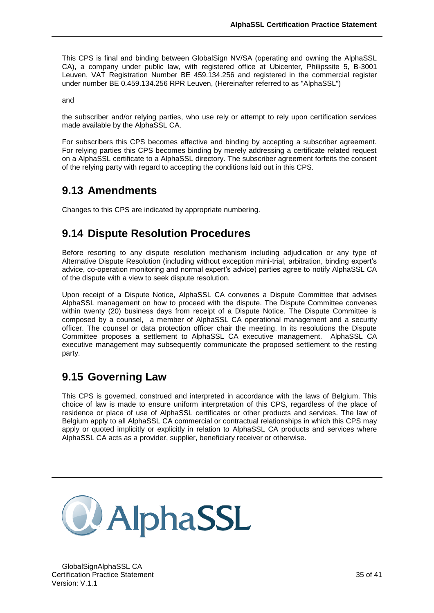This CPS is final and binding between GlobalSign NV/SA (operating and owning the AlphaSSL CA), a company under public law, with registered office at Ubicenter, Philipssite 5, B-3001 Leuven, VAT Registration Number BE 459.134.256 and registered in the commercial register under number BE 0.459.134.256 RPR Leuven, (Hereinafter referred to as "AlphaSSL")

and

the subscriber and/or relying parties, who use rely or attempt to rely upon certification services made available by the AlphaSSL CA.

For subscribers this CPS becomes effective and binding by accepting a subscriber agreement. For relying parties this CPS becomes binding by merely addressing a certificate related request on a AlphaSSL certificate to a AlphaSSL directory. The subscriber agreement forfeits the consent of the relying party with regard to accepting the conditions laid out in this CPS.

## <span id="page-37-0"></span>**9.13 Amendments**

<span id="page-37-1"></span>Changes to this CPS are indicated by appropriate numbering.

## **9.14 Dispute Resolution Procedures**

Before resorting to any dispute resolution mechanism including adjudication or any type of Alternative Dispute Resolution (including without exception mini-trial, arbitration, binding expert's advice, co-operation monitoring and normal expert's advice) parties agree to notify AlphaSSL CA of the dispute with a view to seek dispute resolution.

Upon receipt of a Dispute Notice, AlphaSSL CA convenes a Dispute Committee that advises AlphaSSL management on how to proceed with the dispute. The Dispute Committee convenes within twenty (20) business days from receipt of a Dispute Notice. The Dispute Committee is composed by a counsel, a member of AlphaSSL CA operational management and a security officer. The counsel or data protection officer chair the meeting. In its resolutions the Dispute Committee proposes a settlement to AlphaSSL CA executive management. AlphaSSL CA executive management may subsequently communicate the proposed settlement to the resting party.

## <span id="page-37-2"></span>**9.15 Governing Law**

This CPS is governed, construed and interpreted in accordance with the laws of Belgium. This choice of law is made to ensure uniform interpretation of this CPS, regardless of the place of residence or place of use of AlphaSSL certificates or other products and services. The law of Belgium apply to all AlphaSSL CA commercial or contractual relationships in which this CPS may apply or quoted implicitly or explicitly in relation to AlphaSSL CA products and services where AlphaSSL CA acts as a provider, supplier, beneficiary receiver or otherwise.

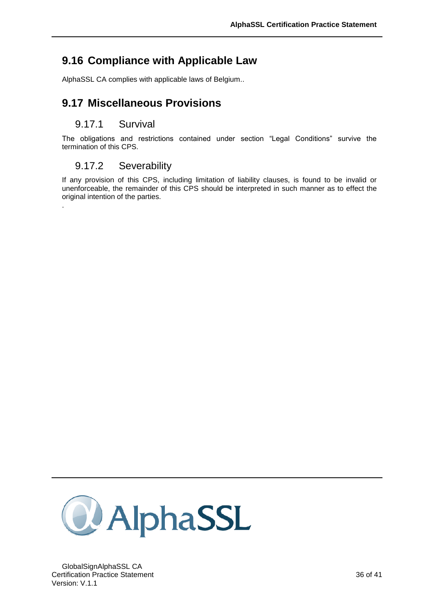## **9.16 Compliance with Applicable Law**

<span id="page-38-1"></span><span id="page-38-0"></span>AlphaSSL CA complies with applicable laws of Belgium..

## **9.17 Miscellaneous Provisions**

#### <span id="page-38-2"></span>9.17.1 Survival

.

<span id="page-38-3"></span>The obligations and restrictions contained under section "Legal Conditions" survive the termination of this CPS.

### 9.17.2 Severability

If any provision of this CPS, including limitation of liability clauses, is found to be invalid or unenforceable, the remainder of this CPS should be interpreted in such manner as to effect the original intention of the parties.

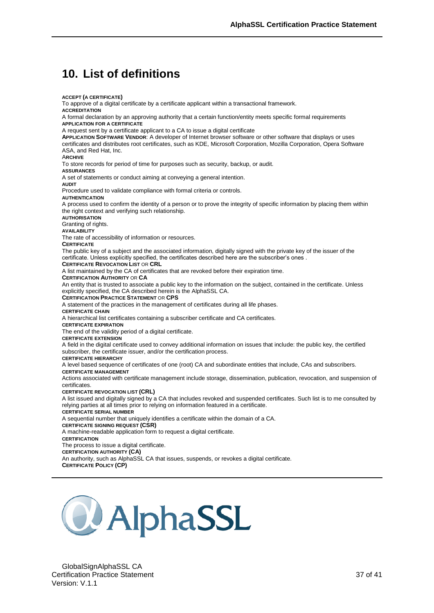## <span id="page-39-0"></span>**10. List of definitions**

**ACCEPT (A CERTIFICATE)** To approve of a digital certificate by a certificate applicant within a transactional framework. **ACCREDITATION** A formal declaration by an approving authority that a certain function/entity meets specific formal requirements **APPLICATION FOR A CERTIFICATE** A request sent by a certificate applicant to a CA to issue a digital certificate **APPLICATION SOFTWARE VENDOR**: A developer of Internet browser software or other software that displays or uses certificates and distributes root certificates, such as KDE, Microsoft Corporation, Mozilla Corporation, Opera Software ASA, and Red Hat, Inc. A**RCHIVE** To store records for period of time for purposes such as security, backup, or audit. **ASSURANCES** A set of statements or conduct aiming at conveying a general intention. **AUDIT** Procedure used to validate compliance with formal criteria or controls. **AUTHENTICATION** A process used to confirm the identity of a person or to prove the integrity of specific information by placing them within the right context and verifying such relationship. **AUTHORISATION** Granting of rights. **AVAILABILITY** The rate of accessibility of information or resources. **CERTIFICATE** The public key of a subject and the associated information, digitally signed with the private key of the issuer of the certificate. Unless explicitly specified, the certificates described here are the subscriber's ones . **CERTIFICATE REVOCATION LIST OR CRL** A list maintained by the CA of certificates that are revoked before their expiration time. **CERTIFICATION AUTHORITY** OR **CA** An entity that is trusted to associate a public key to the information on the subject, contained in the certificate. Unless explicitly specified, the CA described herein is the AlphaSSL CA. **CERTIFICATION PRACTICE STATEMENT** OR **CPS** A statement of the practices in the management of certificates during all life phases. **CERTIFICATE CHAIN** A hierarchical list certificates containing a subscriber certificate and CA certificates. **CERTIFICATE EXPIRATION** The end of the validity period of a digital certificate. **CERTIFICATE EXTENSION** A field in the digital certificate used to convey additional information on issues that include: the public key, the certified subscriber, the certificate issuer, and/or the certification process. **CERTIFICATE HIERARCHY** A level based sequence of certificates of one (root) CA and subordinate entities that include, CAs and subscribers. **CERTIFICATE MANAGEMENT** Actions associated with certificate management include storage, dissemination, publication, revocation, and suspension of certificates. **CERTIFICATE REVOCATION LIST (CRL)** A list issued and digitally signed by a CA that includes revoked and suspended certificates. Such list is to me consulted by relying parties at all times prior to relying on information featured in a certificate. **CERTIFICATE SERIAL NUMBER** A sequential number that uniquely identifies a certificate within the domain of a CA. **CERTIFICATE SIGNING REQUEST (CSR)** A machine-readable application form to request a digital certificate. **CERTIFICATION** The process to issue a digital certificate. **CERTIFICATION AUTHORITY (CA)** An authority, such as AlphaSSL CA that issues, suspends, or revokes a digital certificate. **CERTIFICATE POLICY (CP)**

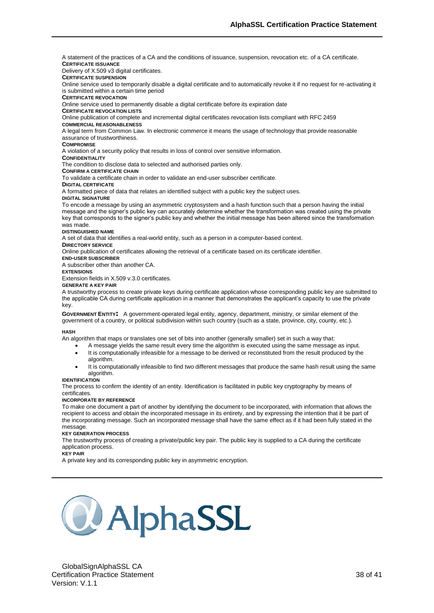A statement of the practices of a CA and the conditions of issuance, suspension, revocation etc. of a CA certificate. **CERTIFICATE ISSUANCE**

Delivery of X.509 v3 digital certificates.

**CERTIFICATE SUSPENSION** 

Online service used to temporarily disable a digital certificate and to automatically revoke it if no request for re-activating it is submitted within a certain time period

**CERTIFICATE REVOCATION** 

Online service used to permanently disable a digital certificate before its expiration date

#### **CERTIFICATE REVOCATION LISTS**

Online publication of complete and incremental digital certificates revocation lists compliant with RFC 2459

#### **COMMERCIAL REASONABLENESS**

A legal term from Common Law. In electronic commerce it means the usage of technology that provide reasonable assurance of trustworthiness.

#### **COMPROMISE**

A violation of a security policy that results in loss of control over sensitive information.

#### **CONFIDENTIALITY**

The condition to disclose data to selected and authorised parties only.

**CONFIRM A CERTIFICATE CHAIN**

To validate a certificate chain in order to validate an end-user subscriber certificate.

**DIGITAL CERTIFICATE** 

A formatted piece of data that relates an identified subject with a public key the subject uses.

#### **DIGITAL SIGNATURE**

To encode a message by using an asymmetric cryptosystem and a hash function such that a person having the initial message and the signer's public key can accurately determine whether the transformation was created using the private key that corresponds to the signer's public key and whether the initial message has been altered since the transformation was made.

#### **DISTINGUISHED NAME**

A set of data that identifies a real-world entity, such as a person in a computer-based context.

#### **DIRECTORY SERVICE**

Online publication of certificates allowing the retrieval of a certificate based on its certificate identifier.

**END-USER SUBSCRIBER**

#### A subscriber other than another CA.

**EXTENSIONS** Extension fields in X.509 v.3.0 certificates.

#### **GENERATE A KEY PAIR**

A trustworthy process to create private keys during certificate application whose corresponding public key are submitted to

#### the applicable CA during certificate application in a manner that demonstrates the applicant's capacity to use the private key.

**GOVERNMENT ENTITY:** A government-operated legal entity, agency, department, ministry, or similar element of the government of a country, or political subdivision within such country (such as a state, province, city, county, etc.).

#### **HASH**

An algorithm that maps or translates one set of bits into another (generally smaller) set in such a way that:

- A message yields the same result every time the algorithm is executed using the same message as input.
- It is computationally infeasible for a message to be derived or reconstituted from the result produced by the algorithm.
- It is computationally infeasible to find two different messages that produce the same hash result using the same algorithm.

#### **IDENTIFICATION**

The process to confirm the identity of an entity. Identification is facilitated in public key cryptography by means of certificates.

#### **INCORPORATE BY REFERENCE**

To make one document a part of another by identifying the document to be incorporated, with information that allows the recipient to access and obtain the incorporated message in its entirety, and by expressing the intention that it be part of the incorporating message. Such an incorporated message shall have the same effect as if it had been fully stated in the message.

#### **KEY GENERATION PROCESS**

The trustworthy process of creating a private/public key pair. The public key is supplied to a CA during the certificate application process.

#### **KEY PAIR**

A private key and its corresponding public key in asymmetric encryption.

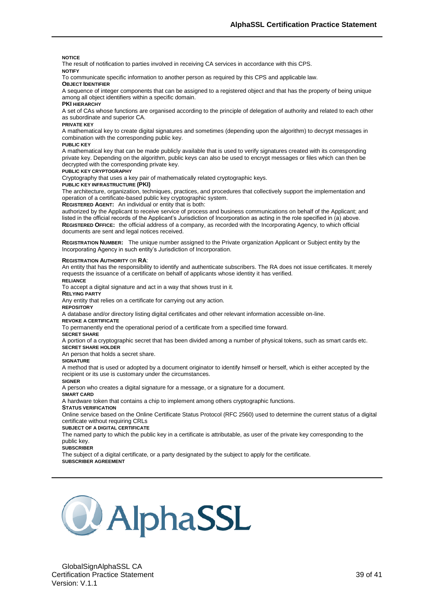#### **NOTICE**

The result of notification to parties involved in receiving CA services in accordance with this CPS.

#### **NOTIFY**

To communicate specific information to another person as required by this CPS and applicable law.

**OBJECT IDENTIFIER**

A sequence of integer components that can be assigned to a registered object and that has the property of being unique among all object identifiers within a specific domain.

#### **PKI HIERARCHY**

A set of CAs whose functions are organised according to the principle of delegation of authority and related to each other as subordinate and superior CA.

#### **PRIVATE KEY**

A mathematical key to create digital signatures and sometimes (depending upon the algorithm) to decrypt messages in combination with the corresponding public key.

#### **PUBLIC KEY**

A mathematical key that can be made publicly available that is used to verify signatures created with its corresponding private key. Depending on the algorithm, public keys can also be used to encrypt messages or files which can then be decrypted with the corresponding private key.

#### **PUBLIC KEY CRYPTOGRAPHY**

Cryptography that uses a key pair of mathematically related cryptographic keys.

**PUBLIC KEY INFRASTRUCTURE (PKI)**

The architecture, organization, techniques, practices, and procedures that collectively support the implementation and operation of a certificate-based public key cryptographic system.

**REGISTERED AGENT:** An individual or entity that is both:

authorized by the Applicant to receive service of process and business communications on behalf of the Applicant; and listed in the official records of the Applicant's Jurisdiction of Incorporation as acting in the role specified in (a) above. **REGISTERED OFFICE:** the official address of a company, as recorded with the Incorporating Agency, to which official documents are sent and legal notices received.

**REGISTRATION NUMBER:** The unique number assigned to the Private organization Applicant or Subject entity by the Incorporating Agency in such entity's Jurisdiction of Incorporation.

#### **REGISTRATION AUTHORITY** OR **RA**:

An entity that has the responsibility to identify and authenticate subscribers. The RA does not issue certificates. It merely requests the issuance of a certificate on behalf of applicants whose identity it has verified.

**RELIANCE** 

To accept a digital signature and act in a way that shows trust in it.

**RELYING PARTY**

Any entity that relies on a certificate for carrying out any action.

**REPOSITORY**

A database and/or directory listing digital certificates and other relevant information accessible on-line.

#### **REVOKE A CERTIFICATE**

To permanently end the operational period of a certificate from a specified time forward.

#### **SECRET SHARE**

A portion of a cryptographic secret that has been divided among a number of physical tokens, such as smart cards etc. **SECRET SHARE HOLDER**

#### An person that holds a secret share.

**SIGNATURE**

A method that is used or adopted by a document originator to identify himself or herself, which is either accepted by the recipient or its use is customary under the circumstances.

#### **SIGNER**

A person who creates a digital signature for a message, or a signature for a document.

**SMART CARD**

A hardware token that contains a chip to implement among others cryptographic functions.

**STATUS VERIFICATION** 

Online service based on the Online Certificate Status Protocol (RFC 2560) used to determine the current status of a digital certificate without requiring CRLs

#### **SUBJECT OF A DIGITAL CERTIFICATE**

The named party to which the public key in a certificate is attributable, as user of the private key corresponding to the public key.

#### **SUBSCRIBER**

The subject of a digital certificate, or a party designated by the subject to apply for the certificate.

#### **SUBSCRIBER AGREEMENT**

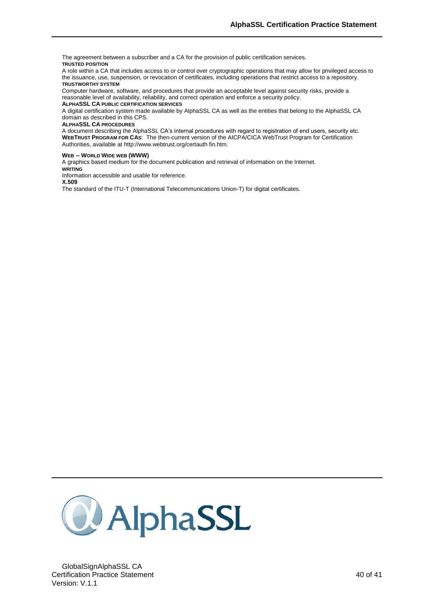The agreement between a subscriber and a CA for the provision of public certification services. **TRUSTED POSITION**

A role within a CA that includes access to or control over cryptographic operations that may allow for privileged access to the issuance, use, suspension, or revocation of certificates, including operations that restrict access to a repository. **TRUSTWORTHY SYSTEM**

Computer hardware, software, and procedures that provide an acceptable level against security risks, provide a reasonable level of availability, reliability, and correct operation and enforce a security policy.

**ALPHASSL CA PUBLIC CERTIFICATION SERVICES**

A digital certification system made available by AlphaSSL CA as well as the entities that belong to the AlphaSSL CA domain as described in this CPS.

#### **ALPHASSL CA PROCEDURES**

A document describing the AlphaSSL CA's internal procedures with regard to registration of end users, security etc. **WEBTRUST PROGRAM FOR CAS**: The then-current version of the AICPA/CICA WebTrust Program for Certification Authorities, available at [http://www.webtrust.org/certauth fin.htm.](http://www.webtrust.org/certauth%20fin.htm)

#### **WEB -- WORLD WIDE WEB (WWW)**

A graphics based medium for the document publication and retrieval of information on the Internet. **WRITING**

Information accessible and usable for reference.

**X.509**

The standard of the ITU-T (International Telecommunications Union-T) for digital certificates.